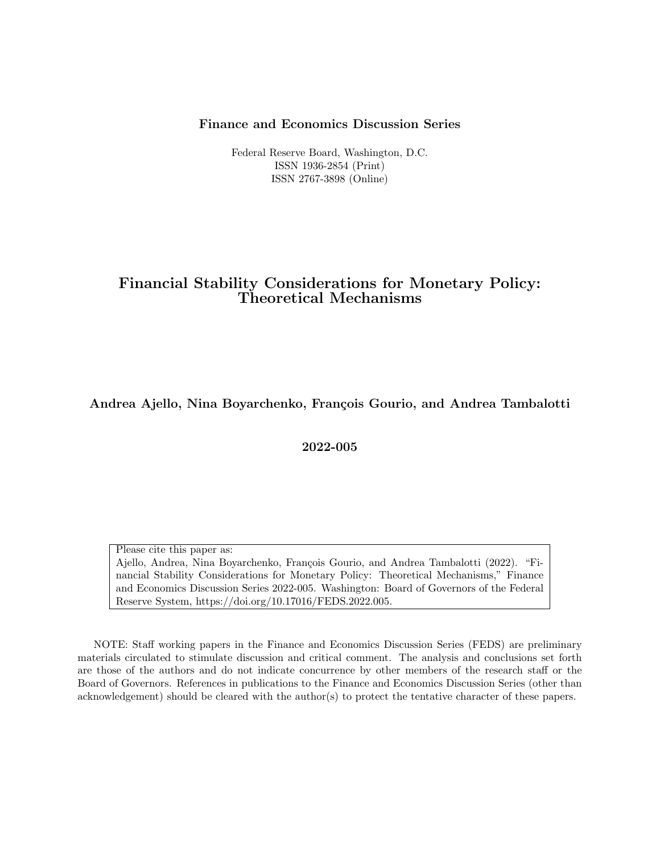#### Finance and Economics Discussion Series

Federal Reserve Board, Washington, D.C. ISSN 1936-2854 (Print) ISSN 2767-3898 (Online)

# Financial Stability Considerations for Monetary Policy: Theoretical Mechanisms

Andrea Ajello, Nina Boyarchenko, François Gourio, and Andrea Tambalotti

2022-005

Please cite this paper as: Ajello, Andrea, Nina Boyarchenko, François Gourio, and Andrea Tambalotti (2022). "Financial Stability Considerations for Monetary Policy: Theoretical Mechanisms," Finance and Economics Discussion Series 2022-005. Washington: Board of Governors of the Federal Reserve System, https://doi.org/10.17016/FEDS.2022.005.

NOTE: Staff working papers in the Finance and Economics Discussion Series (FEDS) are preliminary materials circulated to stimulate discussion and critical comment. The analysis and conclusions set forth are those of the authors and do not indicate concurrence by other members of the research staff or the Board of Governors. References in publications to the Finance and Economics Discussion Series (other than acknowledgement) should be cleared with the author(s) to protect the tentative character of these papers.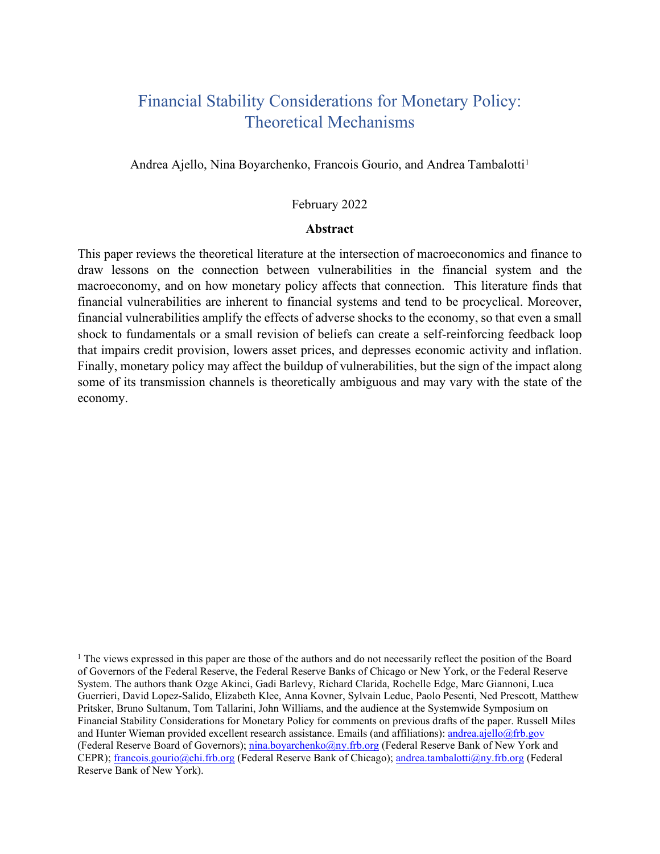# Financial Stability Considerations for Monetary Policy: Theoretical Mechanisms

Andrea Ajello, Nina Boyarchenko, Francois Gourio, and Andrea Tambalotti<sup>[1](#page-1-0)</sup>

#### February 2022

## **Abstract**

This paper reviews the theoretical literature at the intersection of macroeconomics and finance to draw lessons on the connection between vulnerabilities in the financial system and the macroeconomy, and on how monetary policy affects that connection. This literature finds that financial vulnerabilities are inherent to financial systems and tend to be procyclical. Moreover, financial vulnerabilities amplify the effects of adverse shocks to the economy, so that even a small shock to fundamentals or a small revision of beliefs can create a self-reinforcing feedback loop that impairs credit provision, lowers asset prices, and depresses economic activity and inflation. Finally, monetary policy may affect the buildup of vulnerabilities, but the sign of the impact along some of its transmission channels is theoretically ambiguous and may vary with the state of the economy.

<span id="page-1-0"></span><sup>1</sup> The views expressed in this paper are those of the authors and do not necessarily reflect the position of the Board of Governors of the Federal Reserve, the Federal Reserve Banks of Chicago or New York, or the Federal Reserve System. The authors thank Ozge Akinci, Gadi Barlevy, Richard Clarida, Rochelle Edge, Marc Giannoni, Luca Guerrieri, David Lopez-Salido, Elizabeth Klee, Anna Kovner, Sylvain Leduc, Paolo Pesenti, Ned Prescott, Matthew Pritsker, Bruno Sultanum, Tom Tallarini, John Williams, and the audience at the Systemwide Symposium on Financial Stability Considerations for Monetary Policy for comments on previous drafts of the paper. Russell Miles and Hunter Wieman provided excellent research assistance. Emails (and affiliations)[: andrea.ajello@frb.gov](mailto:andrea.ajello@frb.gov) (Federal Reserve Board of Governors); [nina.boyarchenko@ny.frb.org](mailto:nina.boyarchenko@ny.frb.org) (Federal Reserve Bank of New York and CEPR); [francois.gourio@chi.frb.org](mailto:francois.gourio@chi.frb.org) (Federal Reserve Bank of Chicago); [andrea.tambalotti@ny.frb.org](mailto:andrea.tambalotti@ny.frb.org) (Federal Reserve Bank of New York).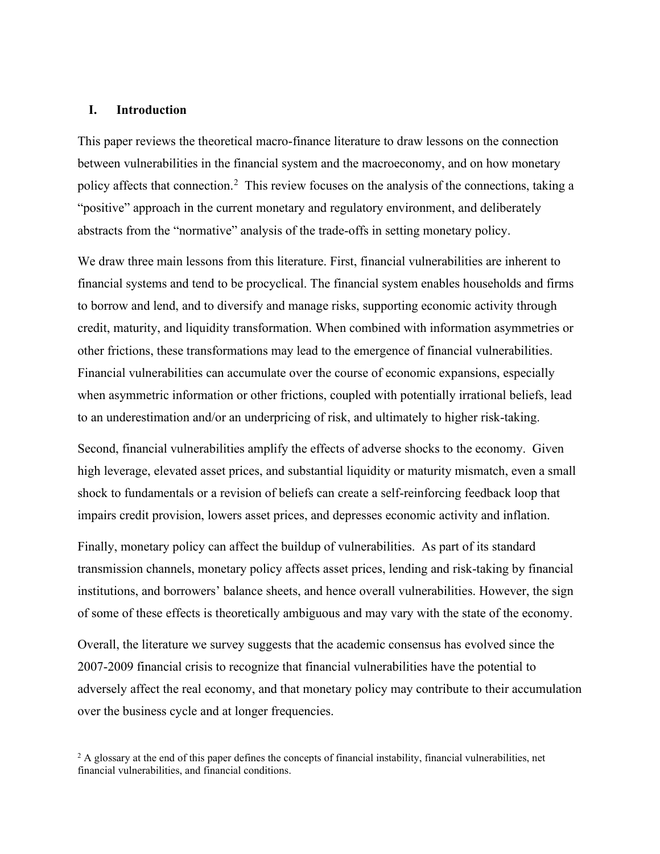#### **I. Introduction**

This paper reviews the theoretical macro-finance literature to draw lessons on the connection between vulnerabilities in the financial system and the macroeconomy, and on how monetary policy affects that connection.<sup>[2](#page-2-0)</sup> This review focuses on the analysis of the connections, taking a "positive" approach in the current monetary and regulatory environment, and deliberately abstracts from the "normative" analysis of the trade-offs in setting monetary policy.

We draw three main lessons from this literature. First, financial vulnerabilities are inherent to financial systems and tend to be procyclical. The financial system enables households and firms to borrow and lend, and to diversify and manage risks, supporting economic activity through credit, maturity, and liquidity transformation. When combined with information asymmetries or other frictions, these transformations may lead to the emergence of financial vulnerabilities. Financial vulnerabilities can accumulate over the course of economic expansions, especially when asymmetric information or other frictions, coupled with potentially irrational beliefs, lead to an underestimation and/or an underpricing of risk, and ultimately to higher risk-taking.

Second, financial vulnerabilities amplify the effects of adverse shocks to the economy. Given high leverage, elevated asset prices, and substantial liquidity or maturity mismatch, even a small shock to fundamentals or a revision of beliefs can create a self-reinforcing feedback loop that impairs credit provision, lowers asset prices, and depresses economic activity and inflation.

Finally, monetary policy can affect the buildup of vulnerabilities. As part of its standard transmission channels, monetary policy affects asset prices, lending and risk-taking by financial institutions, and borrowers' balance sheets, and hence overall vulnerabilities. However, the sign of some of these effects is theoretically ambiguous and may vary with the state of the economy.

Overall, the literature we survey suggests that the academic consensus has evolved since the 2007-2009 financial crisis to recognize that financial vulnerabilities have the potential to adversely affect the real economy, and that monetary policy may contribute to their accumulation over the business cycle and at longer frequencies.

<span id="page-2-0"></span> $2 A$  glossary at the end of this paper defines the concepts of financial instability, financial vulnerabilities, net financial vulnerabilities, and financial conditions.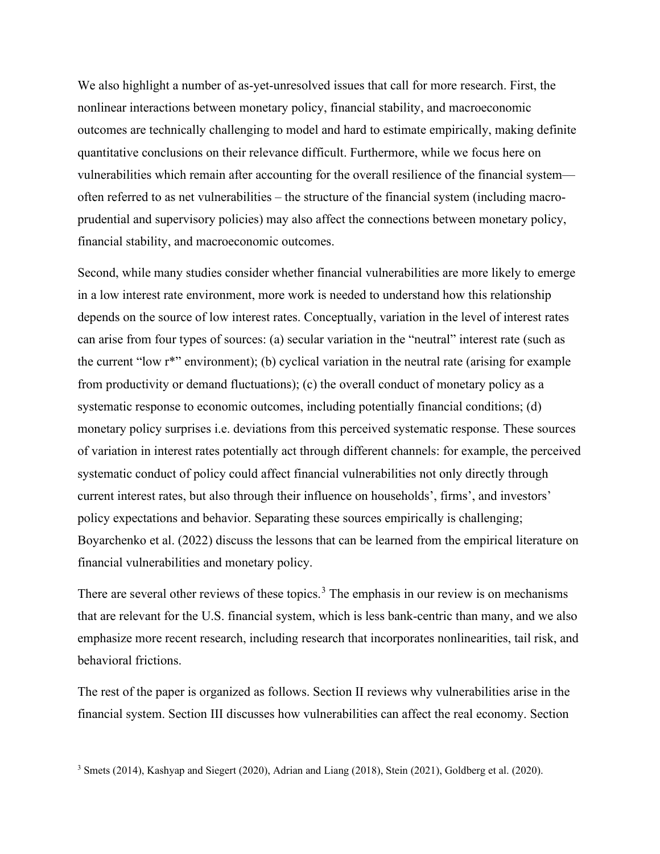We also highlight a number of as-yet-unresolved issues that call for more research. First, the nonlinear interactions between monetary policy, financial stability, and macroeconomic outcomes are technically challenging to model and hard to estimate empirically, making definite quantitative conclusions on their relevance difficult. Furthermore, while we focus here on vulnerabilities which remain after accounting for the overall resilience of the financial system often referred to as net vulnerabilities – the structure of the financial system (including macroprudential and supervisory policies) may also affect the connections between monetary policy, financial stability, and macroeconomic outcomes.

Second, while many studies consider whether financial vulnerabilities are more likely to emerge in a low interest rate environment, more work is needed to understand how this relationship depends on the source of low interest rates. Conceptually, variation in the level of interest rates can arise from four types of sources: (a) secular variation in the "neutral" interest rate (such as the current "low r\*" environment); (b) cyclical variation in the neutral rate (arising for example from productivity or demand fluctuations); (c) the overall conduct of monetary policy as a systematic response to economic outcomes, including potentially financial conditions; (d) monetary policy surprises i.e. deviations from this perceived systematic response. These sources of variation in interest rates potentially act through different channels: for example, the perceived systematic conduct of policy could affect financial vulnerabilities not only directly through current interest rates, but also through their influence on households', firms', and investors' policy expectations and behavior. Separating these sources empirically is challenging; Boyarchenko et al. (2022) discuss the lessons that can be learned from the empirical literature on financial vulnerabilities and monetary policy.

There are several other reviews of these topics.<sup>[3](#page-3-0)</sup> The emphasis in our review is on mechanisms that are relevant for the U.S. financial system, which is less bank-centric than many, and we also emphasize more recent research, including research that incorporates nonlinearities, tail risk, and behavioral frictions.

The rest of the paper is organized as follows. Section II reviews why vulnerabilities arise in the financial system. Section III discusses how vulnerabilities can affect the real economy. Section

<span id="page-3-0"></span><sup>3</sup> Smets (2014), Kashyap and Siegert (2020), Adrian and Liang (2018), Stein (2021), Goldberg et al. (2020).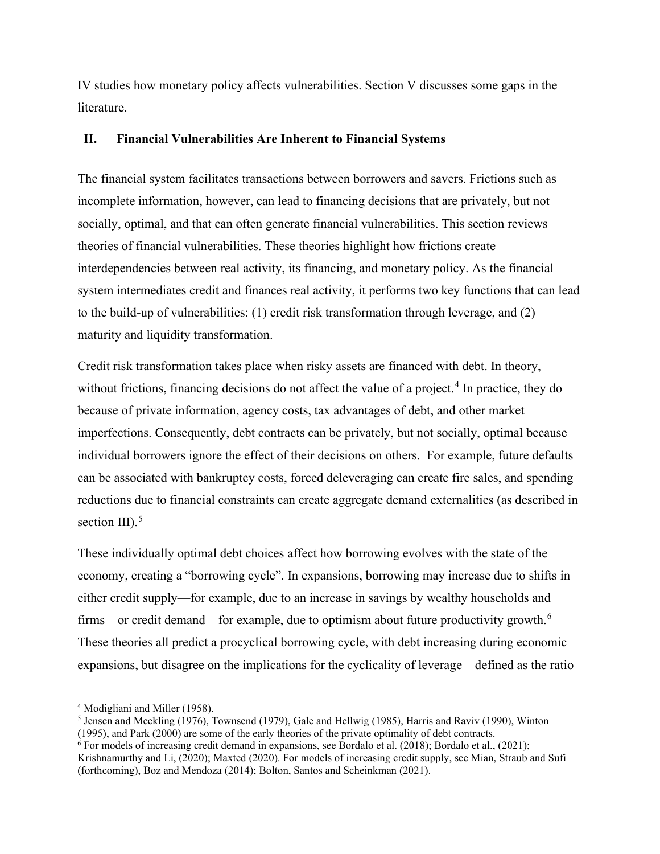IV studies how monetary policy affects vulnerabilities. Section V discusses some gaps in the literature.

## **II. Financial Vulnerabilities Are Inherent to Financial Systems**

The financial system facilitates transactions between borrowers and savers. Frictions such as incomplete information, however, can lead to financing decisions that are privately, but not socially, optimal, and that can often generate financial vulnerabilities. This section reviews theories of financial vulnerabilities. These theories highlight how frictions create interdependencies between real activity, its financing, and monetary policy. As the financial system intermediates credit and finances real activity, it performs two key functions that can lead to the build-up of vulnerabilities: (1) credit risk transformation through leverage, and (2) maturity and liquidity transformation.

Credit risk transformation takes place when risky assets are financed with debt. In theory, without frictions, financing decisions do not affect the value of a project.<sup>[4](#page-4-0)</sup> In practice, they do because of private information, agency costs, tax advantages of debt, and other market imperfections. Consequently, debt contracts can be privately, but not socially, optimal because individual borrowers ignore the effect of their decisions on others. For example, future defaults can be associated with bankruptcy costs, forced deleveraging can create fire sales, and spending reductions due to financial constraints can create aggregate demand externalities (as described in section III). $5$ 

These individually optimal debt choices affect how borrowing evolves with the state of the economy, creating a "borrowing cycle". In expansions, borrowing may increase due to shifts in either credit supply—for example, due to an increase in savings by wealthy households and firms—or credit demand—for example, due to optimism about future productivity growth. $<sup>6</sup>$  $<sup>6</sup>$  $<sup>6</sup>$ </sup> These theories all predict a procyclical borrowing cycle, with debt increasing during economic expansions, but disagree on the implications for the cyclicality of leverage – defined as the ratio

<span id="page-4-0"></span><sup>4</sup> Modigliani and Miller (1958).

<span id="page-4-1"></span><sup>&</sup>lt;sup>5</sup> Jensen and Meckling (1976), Townsend (1979), Gale and Hellwig (1985), Harris and Raviv (1990), Winton (1995), and Park (2000) are some of the early theories of the private optimality of debt contracts.

<span id="page-4-2"></span> $6$  For models of increasing credit demand in expansions, see Bordalo et al. (2018); Bordalo et al., (2021); Krishnamurthy and Li, (2020); Maxted (2020). For models of increasing credit supply, see Mian, Straub and Sufi (forthcoming), Boz and Mendoza (2014); Bolton, Santos and Scheinkman (2021).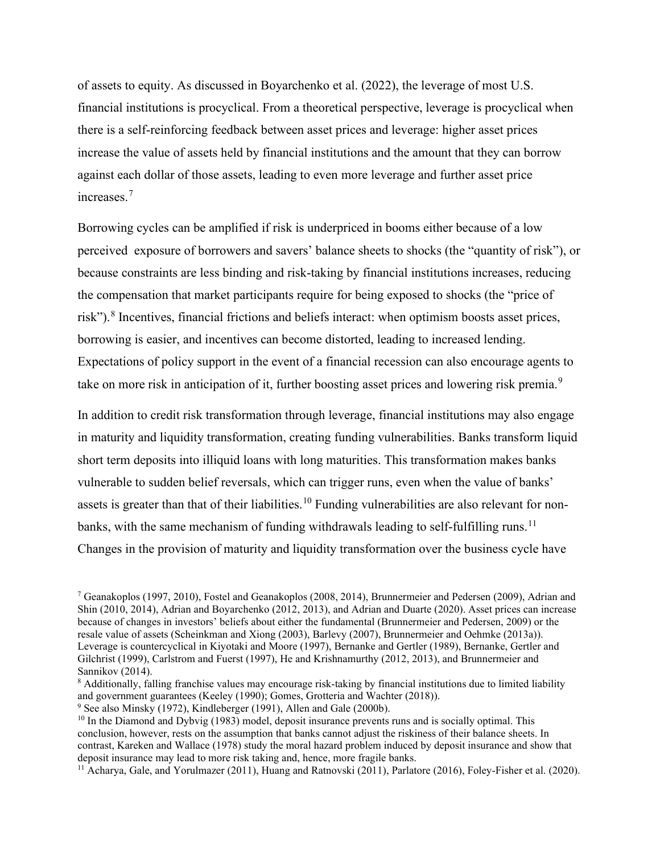of assets to equity. As discussed in Boyarchenko et al. (2022), the leverage of most U.S. financial institutions is procyclical. From a theoretical perspective, leverage is procyclical when there is a self-reinforcing feedback between asset prices and leverage: higher asset prices increase the value of assets held by financial institutions and the amount that they can borrow against each dollar of those assets, leading to even more leverage and further asset price increases.[7](#page-5-0)

Borrowing cycles can be amplified if risk is underpriced in booms either because of a low perceived exposure of borrowers and savers' balance sheets to shocks (the "quantity of risk"), or because constraints are less binding and risk-taking by financial institutions increases, reducing the compensation that market participants require for being exposed to shocks (the "price of risk").<sup>[8](#page-5-1)</sup> Incentives, financial frictions and beliefs interact: when optimism boosts asset prices, borrowing is easier, and incentives can become distorted, leading to increased lending. Expectations of policy support in the event of a financial recession can also encourage agents to take on more risk in anticipation of it, further boosting asset prices and lowering risk premia.<sup>[9](#page-5-2)</sup>

In addition to credit risk transformation through leverage, financial institutions may also engage in maturity and liquidity transformation, creating funding vulnerabilities. Banks transform liquid short term deposits into illiquid loans with long maturities. This transformation makes banks vulnerable to sudden belief reversals, which can trigger runs, even when the value of banks' assets is greater than that of their liabilities.<sup>[10](#page-5-3)</sup> Funding vulnerabilities are also relevant for non-banks, with the same mechanism of funding withdrawals leading to self-fulfilling runs.<sup>[11](#page-5-4)</sup> Changes in the provision of maturity and liquidity transformation over the business cycle have

<span id="page-5-0"></span><sup>7</sup> Geanakoplos (1997, 2010), Fostel and Geanakoplos (2008, 2014), Brunnermeier and Pedersen (2009), Adrian and Shin (2010, 2014), Adrian and Boyarchenko (2012, 2013), and Adrian and Duarte (2020). Asset prices can increase because of changes in investors' beliefs about either the fundamental (Brunnermeier and Pedersen, 2009) or the resale value of assets (Scheinkman and Xiong (2003), Barlevy (2007), Brunnermeier and Oehmke (2013a)). Leverage is countercyclical in Kiyotaki and Moore (1997), Bernanke and Gertler (1989), Bernanke, Gertler and Gilchrist (1999), Carlstrom and Fuerst (1997), He and Krishnamurthy (2012, 2013), and Brunnermeier and Sannikov (2014).

<span id="page-5-1"></span><sup>8</sup> Additionally, falling franchise values may encourage risk-taking by financial institutions due to limited liability and government guarantees (Keeley (1990); Gomes, Grotteria and Wachter (2018)).

<span id="page-5-2"></span><sup>9</sup> See also Minsky (1972), Kindleberger (1991), Allen and Gale (2000b).

<span id="page-5-3"></span> $10$  In the Diamond and Dybvig (1983) model, deposit insurance prevents runs and is socially optimal. This conclusion, however, rests on the assumption that banks cannot adjust the riskiness of their balance sheets. In contrast, Kareken and Wallace (1978) study the moral hazard problem induced by deposit insurance and show that deposit insurance may lead to more risk taking and, hence, more fragile banks.

<span id="page-5-4"></span><sup>&</sup>lt;sup>11</sup> Acharya, Gale, and Yorulmazer (2011), Huang and Ratnovski (2011), Parlatore (2016), Foley-Fisher et al. (2020).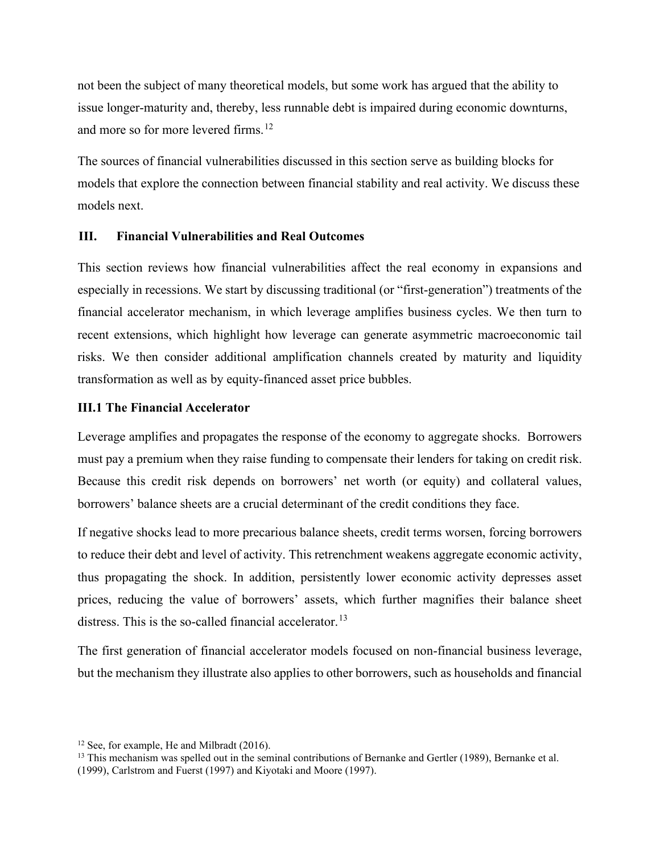not been the subject of many theoretical models, but some work has argued that the ability to issue longer-maturity and, thereby, less runnable debt is impaired during economic downturns, and more so for more levered firms.<sup>12</sup>

The sources of financial vulnerabilities discussed in this section serve as building blocks for models that explore the connection between financial stability and real activity. We discuss these models next.

#### **III. Financial Vulnerabilities and Real Outcomes**

This section reviews how financial vulnerabilities affect the real economy in expansions and especially in recessions. We start by discussing traditional (or "first-generation") treatments of the financial accelerator mechanism, in which leverage amplifies business cycles. We then turn to recent extensions, which highlight how leverage can generate asymmetric macroeconomic tail risks. We then consider additional amplification channels created by maturity and liquidity transformation as well as by equity-financed asset price bubbles.

## **III.1 The Financial Accelerator**

Leverage amplifies and propagates the response of the economy to aggregate shocks. Borrowers must pay a premium when they raise funding to compensate their lenders for taking on credit risk. Because this credit risk depends on borrowers' net worth (or equity) and collateral values, borrowers' balance sheets are a crucial determinant of the credit conditions they face.

If negative shocks lead to more precarious balance sheets, credit terms worsen, forcing borrowers to reduce their debt and level of activity. This retrenchment weakens aggregate economic activity, thus propagating the shock. In addition, persistently lower economic activity depresses asset prices, reducing the value of borrowers' assets, which further magnifies their balance sheet distress. This is the so-called financial accelerator.<sup>[13](#page-6-1)</sup>

The first generation of financial accelerator models focused on non-financial business leverage, but the mechanism they illustrate also applies to other borrowers, such as households and financial

<span id="page-6-0"></span><sup>&</sup>lt;sup>12</sup> See, for example, He and Milbradt (2016).

<span id="page-6-1"></span><sup>&</sup>lt;sup>13</sup> This mechanism was spelled out in the seminal contributions of Bernanke and Gertler (1989), Bernanke et al.

<sup>(1999),</sup> Carlstrom and Fuerst (1997) and Kiyotaki and Moore (1997).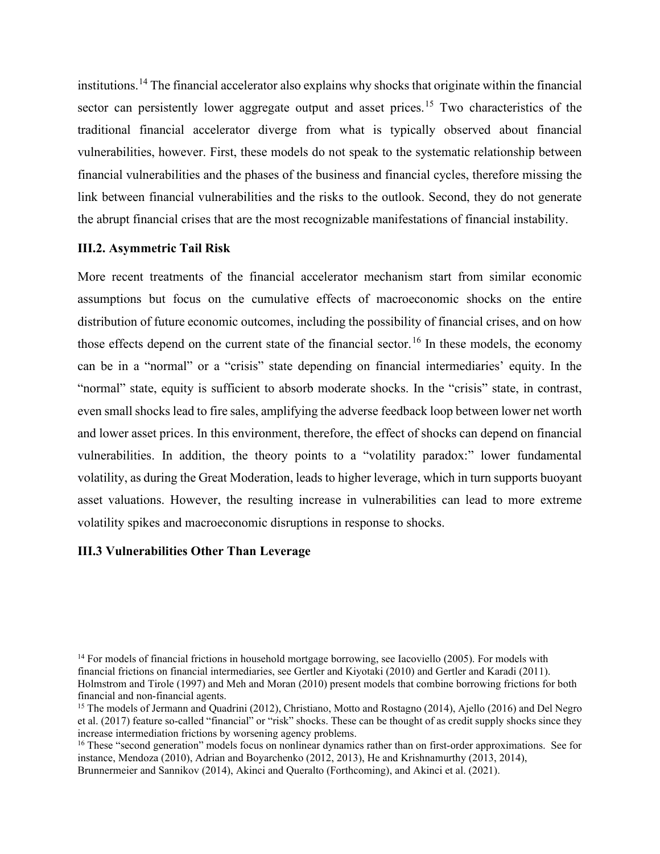institutions.[14](#page-7-0) The financial accelerator also explains why shocks that originate within the financial sector can persistently lower aggregate output and asset prices.<sup>[15](#page-7-1)</sup> Two characteristics of the traditional financial accelerator diverge from what is typically observed about financial vulnerabilities, however. First, these models do not speak to the systematic relationship between financial vulnerabilities and the phases of the business and financial cycles, therefore missing the link between financial vulnerabilities and the risks to the outlook. Second, they do not generate the abrupt financial crises that are the most recognizable manifestations of financial instability.

#### **III.2. Asymmetric Tail Risk**

More recent treatments of the financial accelerator mechanism start from similar economic assumptions but focus on the cumulative effects of macroeconomic shocks on the entire distribution of future economic outcomes, including the possibility of financial crises, and on how those effects depend on the current state of the financial sector.<sup>[16](#page-7-2)</sup> In these models, the economy can be in a "normal" or a "crisis" state depending on financial intermediaries' equity. In the "normal" state, equity is sufficient to absorb moderate shocks. In the "crisis" state, in contrast, even small shocks lead to fire sales, amplifying the adverse feedback loop between lower net worth and lower asset prices. In this environment, therefore, the effect of shocks can depend on financial vulnerabilities. In addition, the theory points to a "volatility paradox:" lower fundamental volatility, as during the Great Moderation, leads to higher leverage, which in turn supports buoyant asset valuations. However, the resulting increase in vulnerabilities can lead to more extreme volatility spikes and macroeconomic disruptions in response to shocks.

## **III.3 Vulnerabilities Other Than Leverage**

<span id="page-7-0"></span><sup>&</sup>lt;sup>14</sup> For models of financial frictions in household mortgage borrowing, see Iacoviello (2005). For models with financial frictions on financial intermediaries, see Gertler and Kiyotaki (2010) and Gertler and Karadi (2011). Holmstrom and Tirole (1997) and Meh and Moran (2010) present models that combine borrowing frictions for both financial and non-financial agents.

<span id="page-7-1"></span><sup>&</sup>lt;sup>15</sup> The models of Jermann and Quadrini (2012), Christiano, Motto and Rostagno (2014), Ajello (2016) and Del Negro et al. (2017) feature so-called "financial" or "risk" shocks. These can be thought of as credit supply shocks since they increase intermediation frictions by worsening agency problems.

<span id="page-7-2"></span><sup>&</sup>lt;sup>16</sup> These "second generation" models focus on nonlinear dynamics rather than on first-order approximations. See for instance, Mendoza (2010), Adrian and Boyarchenko (2012, 2013), He and Krishnamurthy (2013, 2014), Brunnermeier and Sannikov (2014), Akinci and Queralto (Forthcoming), and Akinci et al. (2021).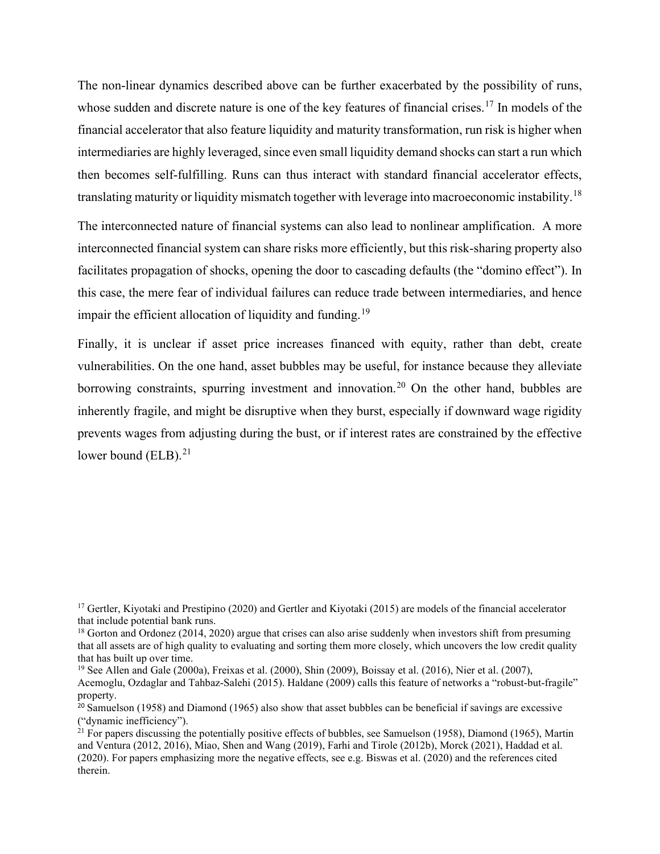The non-linear dynamics described above can be further exacerbated by the possibility of runs, whose sudden and discrete nature is one of the key features of financial crises.<sup>[17](#page-8-0)</sup> In models of the financial accelerator that also feature liquidity and maturity transformation, run risk is higher when intermediaries are highly leveraged, since even small liquidity demand shocks can start a run which then becomes self-fulfilling. Runs can thus interact with standard financial accelerator effects, translating maturity or liquidity mismatch together with leverage into macroeconomic instability.<sup>[18](#page-8-1)</sup>

The interconnected nature of financial systems can also lead to nonlinear amplification. A more interconnected financial system can share risks more efficiently, but this risk-sharing property also facilitates propagation of shocks, opening the door to cascading defaults (the "domino effect"). In this case, the mere fear of individual failures can reduce trade between intermediaries, and hence impair the efficient allocation of liquidity and funding.<sup>[19](#page-8-2)</sup>

Finally, it is unclear if asset price increases financed with equity, rather than debt, create vulnerabilities. On the one hand, asset bubbles may be useful, for instance because they alleviate borrowing constraints, spurring investment and innovation.<sup>[20](#page-8-3)</sup> On the other hand, bubbles are inherently fragile, and might be disruptive when they burst, especially if downward wage rigidity prevents wages from adjusting during the bust, or if interest rates are constrained by the effective lower bound (ELB). $^{21}$  $^{21}$  $^{21}$ 

<span id="page-8-0"></span><sup>&</sup>lt;sup>17</sup> Gertler, Kiyotaki and Prestipino (2020) and Gertler and Kiyotaki (2015) are models of the financial accelerator that include potential bank runs.

<span id="page-8-1"></span><sup>&</sup>lt;sup>18</sup> Gorton and Ordonez (2014, 2020) argue that crises can also arise suddenly when investors shift from presuming that all assets are of high quality to evaluating and sorting them more closely, which uncovers the low credit quality that has built up over time.

<span id="page-8-2"></span><sup>&</sup>lt;sup>19</sup> See Allen and Gale (2000a), Freixas et al. (2000), Shin (2009), Boissay et al. (2016), Nier et al. (2007), Acemoglu, Ozdaglar and Tahbaz-Salehi (2015). Haldane (2009) calls this feature of networks a "robust-but-fragile" property.

<span id="page-8-3"></span><sup>&</sup>lt;sup>20</sup> Samuelson (1958) and Diamond (1965) also show that asset bubbles can be beneficial if savings are excessive ("dynamic inefficiency").

<span id="page-8-4"></span> $^{21}$  For papers discussing the potentially positive effects of bubbles, see Samuelson (1958), Diamond (1965), Martin and Ventura (2012, 2016), Miao, Shen and Wang (2019), Farhi and Tirole (2012b), Morck (2021), Haddad et al. (2020). For papers emphasizing more the negative effects, see e.g. Biswas et al. (2020) and the references cited therein.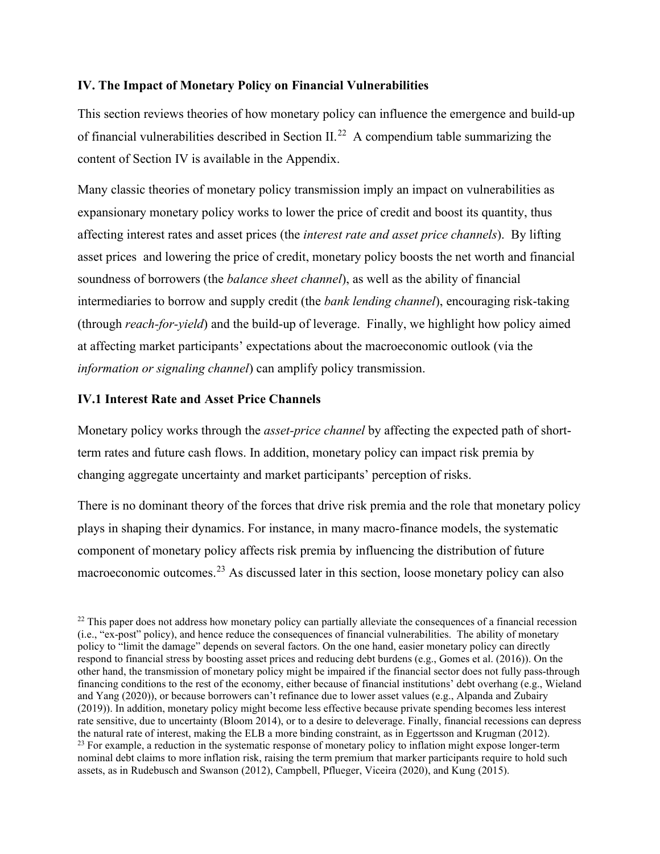## **IV. The Impact of Monetary Policy on Financial Vulnerabilities**

This section reviews theories of how monetary policy can influence the emergence and build-up of financial vulnerabilities described in Section II.<sup>22</sup> A compendium table summarizing the content of Section IV is available in the Appendix.

Many classic theories of monetary policy transmission imply an impact on vulnerabilities as expansionary monetary policy works to lower the price of credit and boost its quantity, thus affecting interest rates and asset prices (the *interest rate and asset price channels*). By lifting asset prices and lowering the price of credit, monetary policy boosts the net worth and financial soundness of borrowers (the *balance sheet channel*), as well as the ability of financial intermediaries to borrow and supply credit (the *bank lending channel*), encouraging risk-taking (through *reach-for-yield*) and the build-up of leverage. Finally, we highlight how policy aimed at affecting market participants' expectations about the macroeconomic outlook (via the *information or signaling channel*) can amplify policy transmission.

## **IV.1 Interest Rate and Asset Price Channels**

Monetary policy works through the *asset-price channel* by affecting the expected path of shortterm rates and future cash flows. In addition, monetary policy can impact risk premia by changing aggregate uncertainty and market participants' perception of risks.

There is no dominant theory of the forces that drive risk premia and the role that monetary policy plays in shaping their dynamics. For instance, in many macro-finance models, the systematic component of monetary policy affects risk premia by influencing the distribution of future macroeconomic outcomes.<sup>[23](#page-9-1)</sup> As discussed later in this section, loose monetary policy can also

<span id="page-9-1"></span><span id="page-9-0"></span><sup>&</sup>lt;sup>22</sup> This paper does not address how monetary policy can partially alleviate the consequences of a financial recession (i.e., "ex-post" policy), and hence reduce the consequences of financial vulnerabilities. The ability of monetary policy to "limit the damage" depends on several factors. On the one hand, easier monetary policy can directly respond to financial stress by boosting asset prices and reducing debt burdens (e.g., Gomes et al. (2016)). On the other hand, the transmission of monetary policy might be impaired if the financial sector does not fully pass-through financing conditions to the rest of the economy, either because of financial institutions' debt overhang (e.g., Wieland and Yang (2020)), or because borrowers can't refinance due to lower asset values (e.g., Alpanda and Zubairy (2019)). In addition, monetary policy might become less effective because private spending becomes less interest rate sensitive, due to uncertainty (Bloom 2014), or to a desire to deleverage. Finally, financial recessions can depress the natural rate of interest, making the ELB a more binding constraint, as in Eggertsson and Krugman (2012). <sup>23</sup> For example, a reduction in the systematic response of monetary policy to inflation might expose longer-term nominal debt claims to more inflation risk, raising the term premium that marker participants require to hold such assets, as in Rudebusch and Swanson (2012), Campbell, Pflueger, Viceira (2020), and Kung (2015).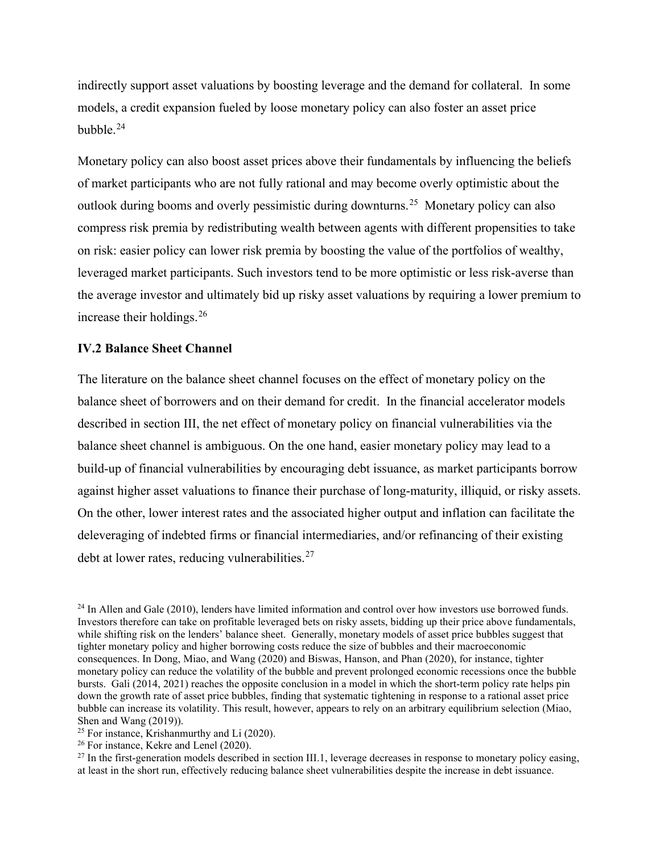indirectly support asset valuations by boosting leverage and the demand for collateral. In some models, a credit expansion fueled by loose monetary policy can also foster an asset price bubble. $24$ 

Monetary policy can also boost asset prices above their fundamentals by influencing the beliefs of market participants who are not fully rational and may become overly optimistic about the outlook during booms and overly pessimistic during downturns.[25](#page-10-1) Monetary policy can also compress risk premia by redistributing wealth between agents with different propensities to take on risk: easier policy can lower risk premia by boosting the value of the portfolios of wealthy, leveraged market participants. Such investors tend to be more optimistic or less risk-averse than the average investor and ultimately bid up risky asset valuations by requiring a lower premium to increase their holdings. $26$ 

#### **IV.2 Balance Sheet Channel**

The literature on the balance sheet channel focuses on the effect of monetary policy on the balance sheet of borrowers and on their demand for credit. In the financial accelerator models described in section III, the net effect of monetary policy on financial vulnerabilities via the balance sheet channel is ambiguous. On the one hand, easier monetary policy may lead to a build-up of financial vulnerabilities by encouraging debt issuance, as market participants borrow against higher asset valuations to finance their purchase of long-maturity, illiquid, or risky assets. On the other, lower interest rates and the associated higher output and inflation can facilitate the deleveraging of indebted firms or financial intermediaries, and/or refinancing of their existing debt at lower rates, reducing vulnerabilities. $27$ 

<span id="page-10-0"></span> $24$  In Allen and Gale (2010), lenders have limited information and control over how investors use borrowed funds. Investors therefore can take on profitable leveraged bets on risky assets, bidding up their price above fundamentals, while shifting risk on the lenders' balance sheet. Generally, monetary models of asset price bubbles suggest that tighter monetary policy and higher borrowing costs reduce the size of bubbles and their macroeconomic consequences. In Dong, Miao, and Wang (2020) and Biswas, Hanson, and Phan (2020), for instance, tighter monetary policy can reduce the volatility of the bubble and prevent prolonged economic recessions once the bubble bursts. Gali (2014, 2021) reaches the opposite conclusion in a model in which the short-term policy rate helps pin down the growth rate of asset price bubbles, finding that systematic tightening in response to a rational asset price bubble can increase its volatility. This result, however, appears to rely on an arbitrary equilibrium selection (Miao, Shen and Wang (2019)).

<span id="page-10-1"></span> $25$  For instance, Krishanmurthy and Li (2020).

<span id="page-10-2"></span><sup>&</sup>lt;sup>26</sup> For instance, Kekre and Lenel (2020).

<span id="page-10-3"></span> $^{27}$  In the first-generation models described in section III.1, leverage decreases in response to monetary policy easing, at least in the short run, effectively reducing balance sheet vulnerabilities despite the increase in debt issuance.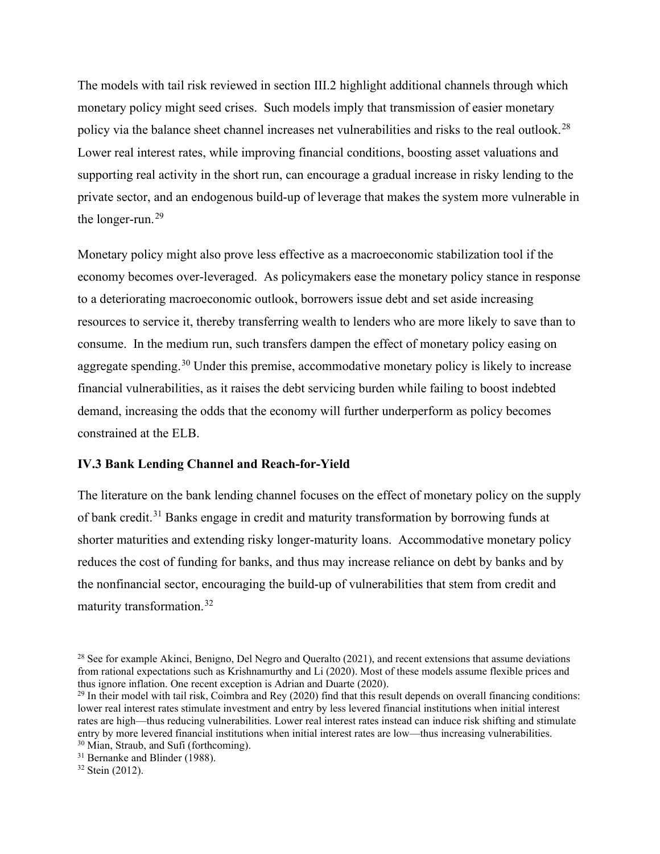The models with tail risk reviewed in section III.2 highlight additional channels through which monetary policy might seed crises. Such models imply that transmission of easier monetary policy via the balance sheet channel increases net vulnerabilities and risks to the real outlook.<sup>28</sup> Lower real interest rates, while improving financial conditions, boosting asset valuations and supporting real activity in the short run, can encourage a gradual increase in risky lending to the private sector, and an endogenous build-up of leverage that makes the system more vulnerable in the longer-run.<sup>[29](#page-11-1)</sup>

Monetary policy might also prove less effective as a macroeconomic stabilization tool if the economy becomes over-leveraged. As policymakers ease the monetary policy stance in response to a deteriorating macroeconomic outlook, borrowers issue debt and set aside increasing resources to service it, thereby transferring wealth to lenders who are more likely to save than to consume. In the medium run, such transfers dampen the effect of monetary policy easing on aggregate spending.<sup>30</sup> Under this premise, accommodative monetary policy is likely to increase financial vulnerabilities, as it raises the debt servicing burden while failing to boost indebted demand, increasing the odds that the economy will further underperform as policy becomes constrained at the ELB.

### **IV.3 Bank Lending Channel and Reach-for-Yield**

The literature on the bank lending channel focuses on the effect of monetary policy on the supply of bank credit.[31](#page-11-3) Banks engage in credit and maturity transformation by borrowing funds at shorter maturities and extending risky longer-maturity loans. Accommodative monetary policy reduces the cost of funding for banks, and thus may increase reliance on debt by banks and by the nonfinancial sector, encouraging the build-up of vulnerabilities that stem from credit and maturity transformation.[32](#page-11-4)

<span id="page-11-0"></span><sup>&</sup>lt;sup>28</sup> See for example Akinci, Benigno, Del Negro and Queralto (2021), and recent extensions that assume deviations from rational expectations such as Krishnamurthy and Li (2020). Most of these models assume flexible prices and thus ignore inflation. One recent exception is Adrian and Duarte (2020).

<span id="page-11-1"></span> $^{29}$  In their model with tail risk, Coimbra and Rey (2020) find that this result depends on overall financing conditions: lower real interest rates stimulate investment and entry by less levered financial institutions when initial interest rates are high—thus reducing vulnerabilities. Lower real interest rates instead can induce risk shifting and stimulate entry by more levered financial institutions when initial interest rates are low—thus increasing vulnerabilities. 30 Mian, Straub, and Sufi (forthcoming).

<span id="page-11-3"></span><span id="page-11-2"></span><sup>&</sup>lt;sup>31</sup> Bernanke and Blinder (1988).

<span id="page-11-4"></span><sup>32</sup> Stein (2012).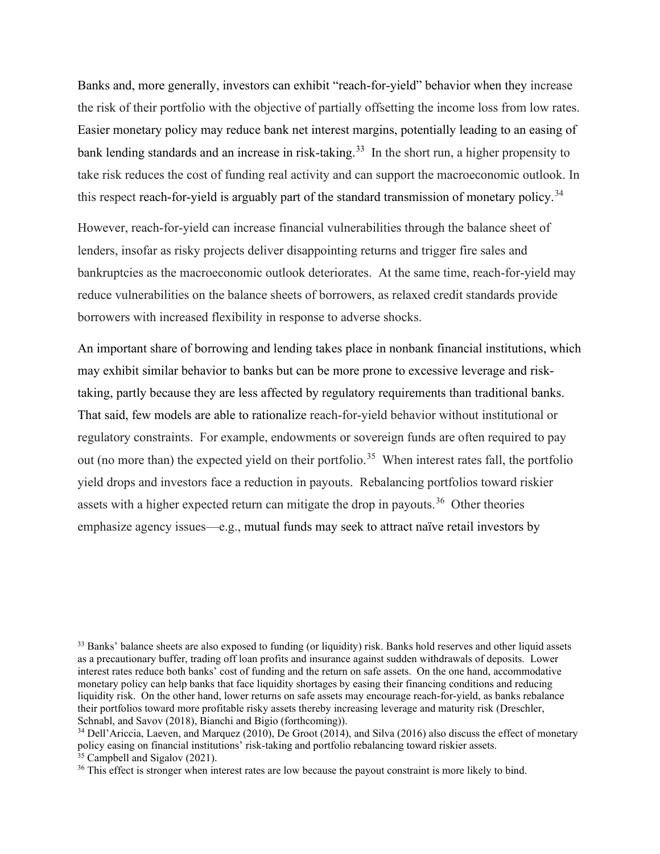Banks and, more generally, investors can exhibit "reach-for-yield" behavior when they increase the risk of their portfolio with the objective of partially offsetting the income loss from low rates. Easier monetary policy may reduce bank net interest margins, potentially leading to an easing of bank lending standards and an increase in risk-taking.<sup>33</sup> In the short run, a higher propensity to take risk reduces the cost of funding real activity and can support the macroeconomic outlook. In this respect reach-for-yield is arguably part of the standard transmission of monetary policy.<sup>[34](#page-12-1)</sup>

However, reach-for-yield can increase financial vulnerabilities through the balance sheet of lenders, insofar as risky projects deliver disappointing returns and trigger fire sales and bankruptcies as the macroeconomic outlook deteriorates. At the same time, reach-for-yield may reduce vulnerabilities on the balance sheets of borrowers, as relaxed credit standards provide borrowers with increased flexibility in response to adverse shocks.

An important share of borrowing and lending takes place in nonbank financial institutions, which may exhibit similar behavior to banks but can be more prone to excessive leverage and risktaking, partly because they are less affected by regulatory requirements than traditional banks. That said, few models are able to rationalize reach-for-yield behavior without institutional or regulatory constraints. For example, endowments or sovereign funds are often required to pay out (no more than) the expected yield on their portfolio.<sup>35</sup> When interest rates fall, the portfolio yield drops and investors face a reduction in payouts. Rebalancing portfolios toward riskier assets with a higher expected return can mitigate the drop in payouts.<sup>36</sup> Other theories emphasize agency issues—e.g., mutual funds may seek to attract naïve retail investors by

<span id="page-12-1"></span><span id="page-12-0"></span><sup>33</sup> Banks' balance sheets are also exposed to funding (or liquidity) risk. Banks hold reserves and other liquid assets as a precautionary buffer, trading off loan profits and insurance against sudden withdrawals of deposits. Lower interest rates reduce both banks' cost of funding and the return on safe assets. On the one hand, accommodative monetary policy can help banks that face liquidity shortages by easing their financing conditions and reducing liquidity risk. On the other hand, lower returns on safe assets may encourage reach-for-yield, as banks rebalance their portfolios toward more profitable risky assets thereby increasing leverage and maturity risk (Dreschler, Schnabl, and Savov (2018), Bianchi and Bigio (forthcoming)).

<span id="page-12-3"></span><span id="page-12-2"></span><sup>&</sup>lt;sup>34</sup> Dell'Ariccia, Laeven, and Marquez (2010), De Groot (2014), and Silva (2016) also discuss the effect of monetary policy easing on financial institutions' risk-taking and portfolio rebalancing toward riskier assets.  $35$  Campbell and Sigalov (2021).

<sup>&</sup>lt;sup>36</sup> This effect is stronger when interest rates are low because the payout constraint is more likely to bind.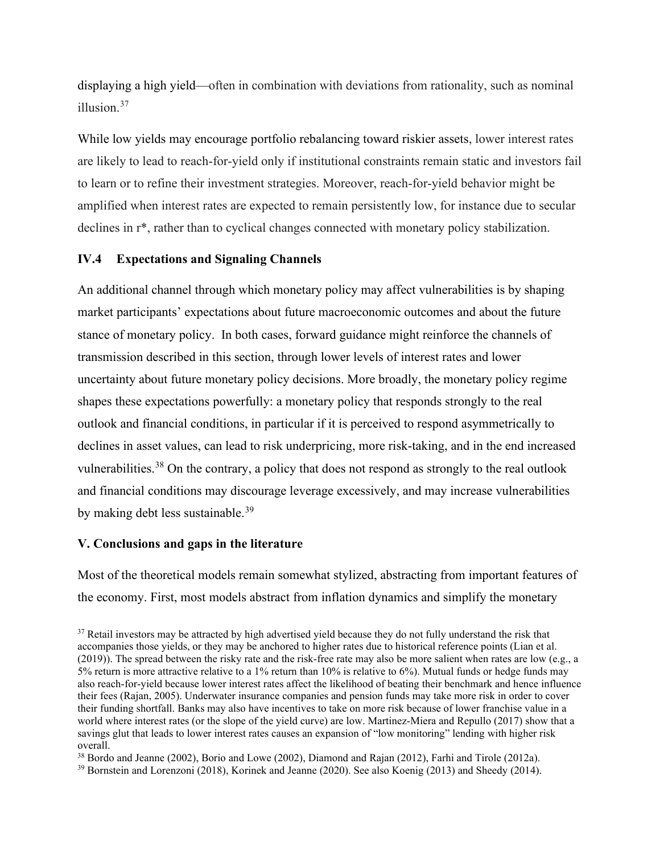displaying a high yield—often in combination with deviations from rationality, such as nominal illusion.[37](#page-13-0)

While low yields may encourage portfolio rebalancing toward riskier assets, lower interest rates are likely to lead to reach-for-yield only if institutional constraints remain static and investors fail to learn or to refine their investment strategies. Moreover, reach-for-yield behavior might be amplified when interest rates are expected to remain persistently low, for instance due to secular declines in r\*, rather than to cyclical changes connected with monetary policy stabilization.

## **IV.4 Expectations and Signaling Channels**

An additional channel through which monetary policy may affect vulnerabilities is by shaping market participants' expectations about future macroeconomic outcomes and about the future stance of monetary policy. In both cases, forward guidance might reinforce the channels of transmission described in this section, through lower levels of interest rates and lower uncertainty about future monetary policy decisions. More broadly, the monetary policy regime shapes these expectations powerfully: a monetary policy that responds strongly to the real outlook and financial conditions, in particular if it is perceived to respond asymmetrically to declines in asset values, can lead to risk underpricing, more risk-taking, and in the end increased vulnerabilities.<sup>[38](#page-13-1)</sup> On the contrary, a policy that does not respond as strongly to the real outlook and financial conditions may discourage leverage excessively, and may increase vulnerabilities by making debt less sustainable.<sup>[39](#page-13-2)</sup>

#### **V. Conclusions and gaps in the literature**

Most of the theoretical models remain somewhat stylized, abstracting from important features of the economy. First, most models abstract from inflation dynamics and simplify the monetary

<span id="page-13-0"></span><sup>&</sup>lt;sup>37</sup> Retail investors may be attracted by high advertised yield because they do not fully understand the risk that accompanies those yields, or they may be anchored to higher rates due to historical reference points (Lian et al. (2019)). The spread between the risky rate and the risk-free rate may also be more salient when rates are low (e.g., a 5% return is more attractive relative to a 1% return than 10% is relative to 6%). Mutual funds or hedge funds may also reach-for-yield because lower interest rates affect the likelihood of beating their benchmark and hence influence their fees (Rajan, 2005). Underwater insurance companies and pension funds may take more risk in order to cover their funding shortfall. Banks may also have incentives to take on more risk because of lower franchise value in a world where interest rates (or the slope of the yield curve) are low. Martinez-Miera and Repullo (2017) show that a savings glut that leads to lower interest rates causes an expansion of "low monitoring" lending with higher risk overall.

<span id="page-13-1"></span><sup>38</sup> Bordo and Jeanne (2002), Borio and Lowe (2002), Diamond and Rajan (2012), Farhi and Tirole (2012a).

<span id="page-13-2"></span><sup>39</sup> Bornstein and Lorenzoni (2018), Korinek and Jeanne (2020). See also Koenig (2013) and Sheedy (2014).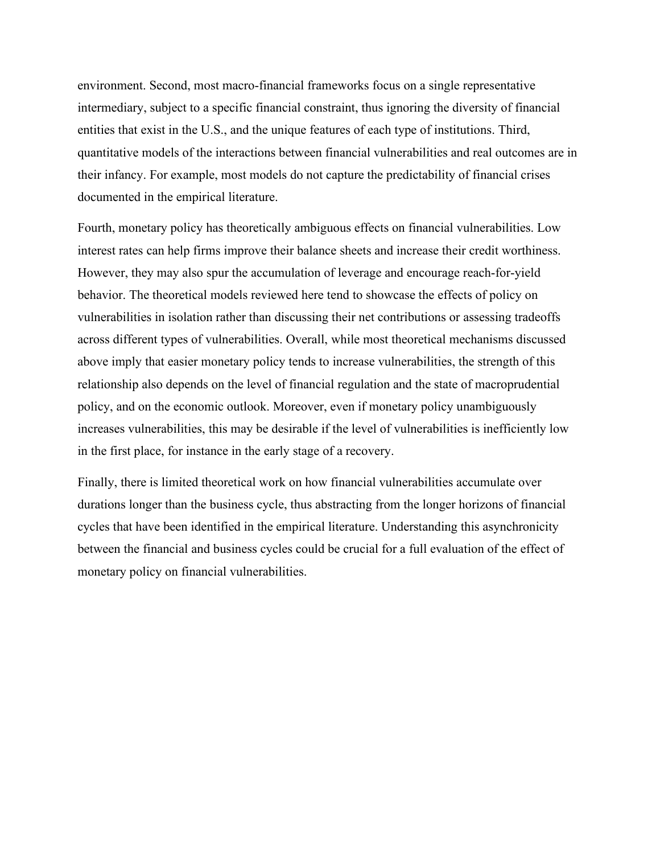environment. Second, most macro-financial frameworks focus on a single representative intermediary, subject to a specific financial constraint, thus ignoring the diversity of financial entities that exist in the U.S., and the unique features of each type of institutions. Third, quantitative models of the interactions between financial vulnerabilities and real outcomes are in their infancy. For example, most models do not capture the predictability of financial crises documented in the empirical literature.

Fourth, monetary policy has theoretically ambiguous effects on financial vulnerabilities. Low interest rates can help firms improve their balance sheets and increase their credit worthiness. However, they may also spur the accumulation of leverage and encourage reach-for-yield behavior. The theoretical models reviewed here tend to showcase the effects of policy on vulnerabilities in isolation rather than discussing their net contributions or assessing tradeoffs across different types of vulnerabilities. Overall, while most theoretical mechanisms discussed above imply that easier monetary policy tends to increase vulnerabilities, the strength of this relationship also depends on the level of financial regulation and the state of macroprudential policy, and on the economic outlook. Moreover, even if monetary policy unambiguously increases vulnerabilities, this may be desirable if the level of vulnerabilities is inefficiently low in the first place, for instance in the early stage of a recovery.

Finally, there is limited theoretical work on how financial vulnerabilities accumulate over durations longer than the business cycle, thus abstracting from the longer horizons of financial cycles that have been identified in the empirical literature. Understanding this asynchronicity between the financial and business cycles could be crucial for a full evaluation of the effect of monetary policy on financial vulnerabilities.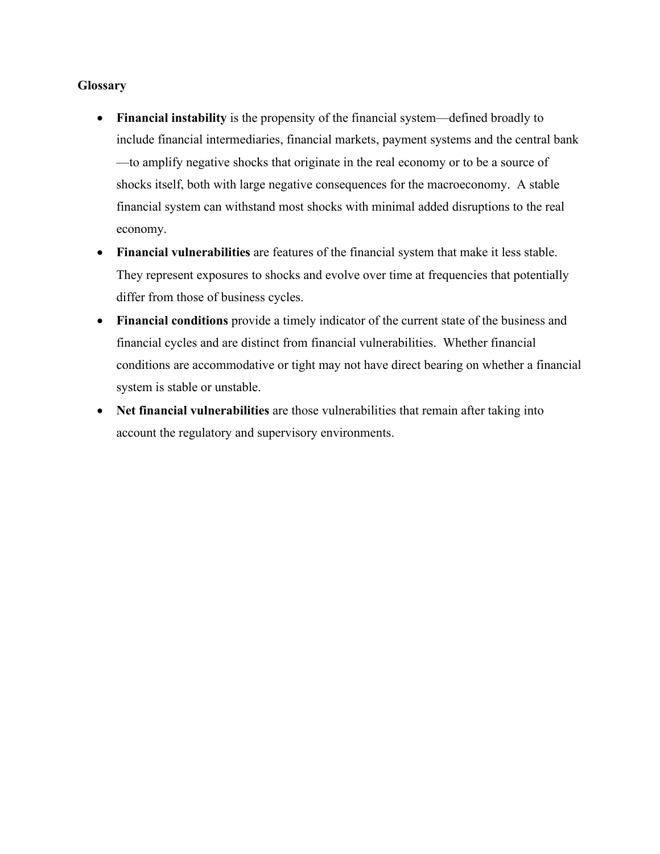## **Glossary**

- **Financial instability** is the propensity of the financial system—defined broadly to include financial intermediaries, financial markets, payment systems and the central bank —to amplify negative shocks that originate in the real economy or to be a source of shocks itself, both with large negative consequences for the macroeconomy. A stable financial system can withstand most shocks with minimal added disruptions to the real economy.
- **Financial vulnerabilities** are features of the financial system that make it less stable. They represent exposures to shocks and evolve over time at frequencies that potentially differ from those of business cycles.
- **Financial conditions** provide a timely indicator of the current state of the business and financial cycles and are distinct from financial vulnerabilities. Whether financial conditions are accommodative or tight may not have direct bearing on whether a financial system is stable or unstable.
- **Net financial vulnerabilities** are those vulnerabilities that remain after taking into account the regulatory and supervisory environments.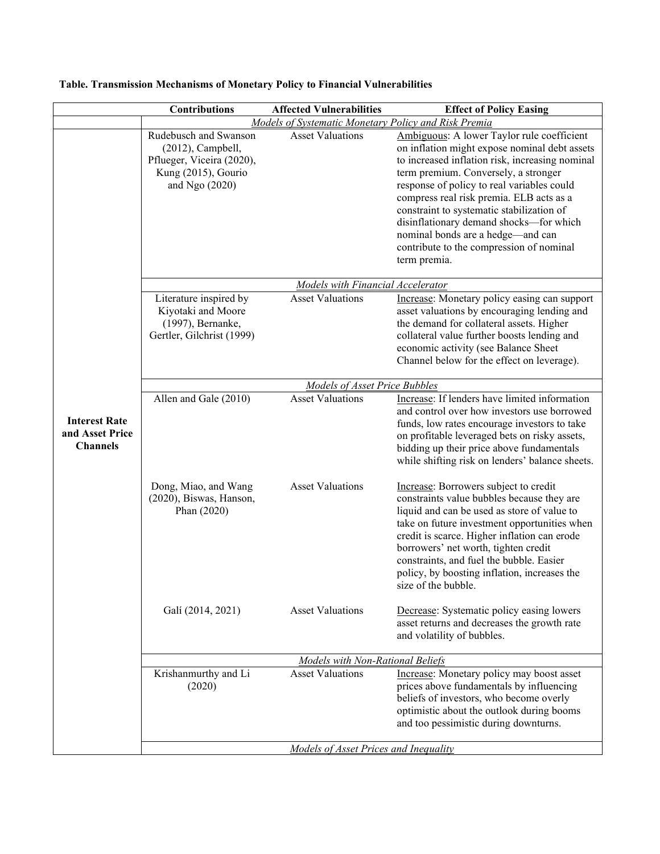|                                                            | <b>Contributions</b>                                                                                                | <b>Affected Vulnerabilities</b>      | <b>Effect of Policy Easing</b>                                                                                                                                                                                                                                                                                                                                                                                                                                            |  |  |
|------------------------------------------------------------|---------------------------------------------------------------------------------------------------------------------|--------------------------------------|---------------------------------------------------------------------------------------------------------------------------------------------------------------------------------------------------------------------------------------------------------------------------------------------------------------------------------------------------------------------------------------------------------------------------------------------------------------------------|--|--|
| Models of Systematic Monetary Policy and Risk Premia       |                                                                                                                     |                                      |                                                                                                                                                                                                                                                                                                                                                                                                                                                                           |  |  |
|                                                            | Rudebusch and Swanson<br>$(2012)$ , Campbell,<br>Pflueger, Viceira (2020),<br>Kung (2015), Gourio<br>and Ngo (2020) | <b>Asset Valuations</b>              | Ambiguous: A lower Taylor rule coefficient<br>on inflation might expose nominal debt assets<br>to increased inflation risk, increasing nominal<br>term premium. Conversely, a stronger<br>response of policy to real variables could<br>compress real risk premia. ELB acts as a<br>constraint to systematic stabilization of<br>disinflationary demand shocks-for which<br>nominal bonds are a hedge-and can<br>contribute to the compression of nominal<br>term premia. |  |  |
|                                                            | Models with Financial Accelerator                                                                                   |                                      |                                                                                                                                                                                                                                                                                                                                                                                                                                                                           |  |  |
|                                                            | Literature inspired by<br>Kiyotaki and Moore<br>(1997), Bernanke,<br>Gertler, Gilchrist (1999)                      | <b>Asset Valuations</b>              | Increase: Monetary policy easing can support<br>asset valuations by encouraging lending and<br>the demand for collateral assets. Higher<br>collateral value further boosts lending and<br>economic activity (see Balance Sheet<br>Channel below for the effect on leverage).                                                                                                                                                                                              |  |  |
|                                                            |                                                                                                                     | <b>Models of Asset Price Bubbles</b> |                                                                                                                                                                                                                                                                                                                                                                                                                                                                           |  |  |
| <b>Interest Rate</b><br>and Asset Price<br><b>Channels</b> | Allen and Gale (2010)                                                                                               | <b>Asset Valuations</b>              | Increase: If lenders have limited information<br>and control over how investors use borrowed<br>funds, low rates encourage investors to take<br>on profitable leveraged bets on risky assets,<br>bidding up their price above fundamentals<br>while shifting risk on lenders' balance sheets.                                                                                                                                                                             |  |  |
|                                                            | Dong, Miao, and Wang<br>(2020), Biswas, Hanson,<br>Phan (2020)                                                      | <b>Asset Valuations</b>              | Increase: Borrowers subject to credit<br>constraints value bubbles because they are<br>liquid and can be used as store of value to<br>take on future investment opportunities when<br>credit is scarce. Higher inflation can erode<br>borrowers' net worth, tighten credit<br>constraints, and fuel the bubble. Easier<br>policy, by boosting inflation, increases the<br>size of the bubble.                                                                             |  |  |
|                                                            | Galí (2014, 2021)                                                                                                   | <b>Asset Valuations</b>              | Decrease: Systematic policy easing lowers<br>asset returns and decreases the growth rate<br>and volatility of bubbles.                                                                                                                                                                                                                                                                                                                                                    |  |  |
|                                                            | <b>Models with Non-Rational Beliefs</b>                                                                             |                                      |                                                                                                                                                                                                                                                                                                                                                                                                                                                                           |  |  |
|                                                            | Krishanmurthy and Li<br>(2020)                                                                                      | <b>Asset Valuations</b>              | Increase: Monetary policy may boost asset<br>prices above fundamentals by influencing<br>beliefs of investors, who become overly<br>optimistic about the outlook during booms<br>and too pessimistic during downturns.                                                                                                                                                                                                                                                    |  |  |
|                                                            | Models of Asset Prices and Inequality                                                                               |                                      |                                                                                                                                                                                                                                                                                                                                                                                                                                                                           |  |  |

# **Table. Transmission Mechanisms of Monetary Policy to Financial Vulnerabilities**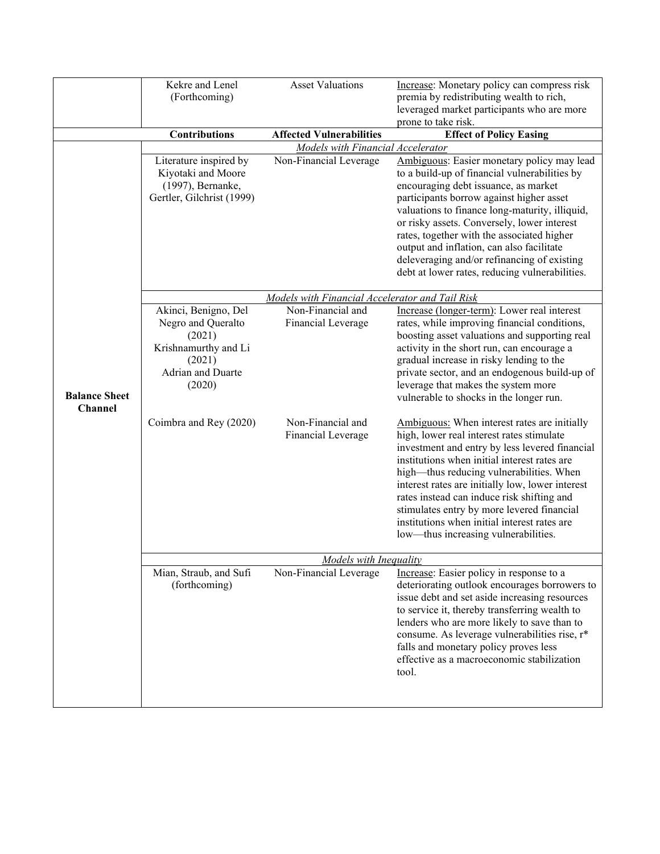|                                 | Kekre and Lenel                                                                                | <b>Asset Valuations</b>                         | Increase: Monetary policy can compress risk                                                                                                                                                                                                                                                                                                                                                                                                                                     |  |
|---------------------------------|------------------------------------------------------------------------------------------------|-------------------------------------------------|---------------------------------------------------------------------------------------------------------------------------------------------------------------------------------------------------------------------------------------------------------------------------------------------------------------------------------------------------------------------------------------------------------------------------------------------------------------------------------|--|
|                                 | (Forthcoming)                                                                                  |                                                 | premia by redistributing wealth to rich,                                                                                                                                                                                                                                                                                                                                                                                                                                        |  |
|                                 |                                                                                                |                                                 | leveraged market participants who are more                                                                                                                                                                                                                                                                                                                                                                                                                                      |  |
|                                 |                                                                                                |                                                 | prone to take risk.                                                                                                                                                                                                                                                                                                                                                                                                                                                             |  |
|                                 | <b>Contributions</b>                                                                           | <b>Affected Vulnerabilities</b>                 | <b>Effect of Policy Easing</b>                                                                                                                                                                                                                                                                                                                                                                                                                                                  |  |
|                                 | Models with Financial Accelerator                                                              |                                                 |                                                                                                                                                                                                                                                                                                                                                                                                                                                                                 |  |
|                                 | Literature inspired by<br>Kiyotaki and Moore<br>(1997), Bernanke,<br>Gertler, Gilchrist (1999) | Non-Financial Leverage                          | Ambiguous: Easier monetary policy may lead<br>to a build-up of financial vulnerabilities by<br>encouraging debt issuance, as market<br>participants borrow against higher asset<br>valuations to finance long-maturity, illiquid,                                                                                                                                                                                                                                               |  |
|                                 |                                                                                                |                                                 | or risky assets. Conversely, lower interest<br>rates, together with the associated higher<br>output and inflation, can also facilitate<br>deleveraging and/or refinancing of existing<br>debt at lower rates, reducing vulnerabilities.                                                                                                                                                                                                                                         |  |
|                                 |                                                                                                | Models with Financial Accelerator and Tail Risk |                                                                                                                                                                                                                                                                                                                                                                                                                                                                                 |  |
|                                 | Akinci, Benigno, Del                                                                           | Non-Financial and                               | Increase (longer-term): Lower real interest                                                                                                                                                                                                                                                                                                                                                                                                                                     |  |
|                                 | Negro and Queralto<br>(2021)                                                                   | Financial Leverage                              | rates, while improving financial conditions,<br>boosting asset valuations and supporting real                                                                                                                                                                                                                                                                                                                                                                                   |  |
|                                 | Krishnamurthy and Li                                                                           |                                                 | activity in the short run, can encourage a                                                                                                                                                                                                                                                                                                                                                                                                                                      |  |
|                                 | (2021)                                                                                         |                                                 | gradual increase in risky lending to the                                                                                                                                                                                                                                                                                                                                                                                                                                        |  |
|                                 | Adrian and Duarte                                                                              |                                                 | private sector, and an endogenous build-up of                                                                                                                                                                                                                                                                                                                                                                                                                                   |  |
| <b>Balance Sheet</b><br>Channel | (2020)                                                                                         |                                                 | leverage that makes the system more<br>vulnerable to shocks in the longer run.                                                                                                                                                                                                                                                                                                                                                                                                  |  |
|                                 | Coimbra and Rey (2020)                                                                         | Non-Financial and<br>Financial Leverage         | Ambiguous: When interest rates are initially<br>high, lower real interest rates stimulate<br>investment and entry by less levered financial<br>institutions when initial interest rates are<br>high-thus reducing vulnerabilities. When<br>interest rates are initially low, lower interest<br>rates instead can induce risk shifting and<br>stimulates entry by more levered financial<br>institutions when initial interest rates are<br>low—thus increasing vulnerabilities. |  |
|                                 | <b>Models with Inequality</b>                                                                  |                                                 |                                                                                                                                                                                                                                                                                                                                                                                                                                                                                 |  |
|                                 | Mian, Straub, and Sufi<br>(forthcoming)                                                        | Non-Financial Leverage                          | Increase: Easier policy in response to a<br>deteriorating outlook encourages borrowers to<br>issue debt and set aside increasing resources<br>to service it, thereby transferring wealth to<br>lenders who are more likely to save than to<br>consume. As leverage vulnerabilities rise, r*<br>falls and monetary policy proves less<br>effective as a macroeconomic stabilization<br>tool.                                                                                     |  |
|                                 |                                                                                                |                                                 |                                                                                                                                                                                                                                                                                                                                                                                                                                                                                 |  |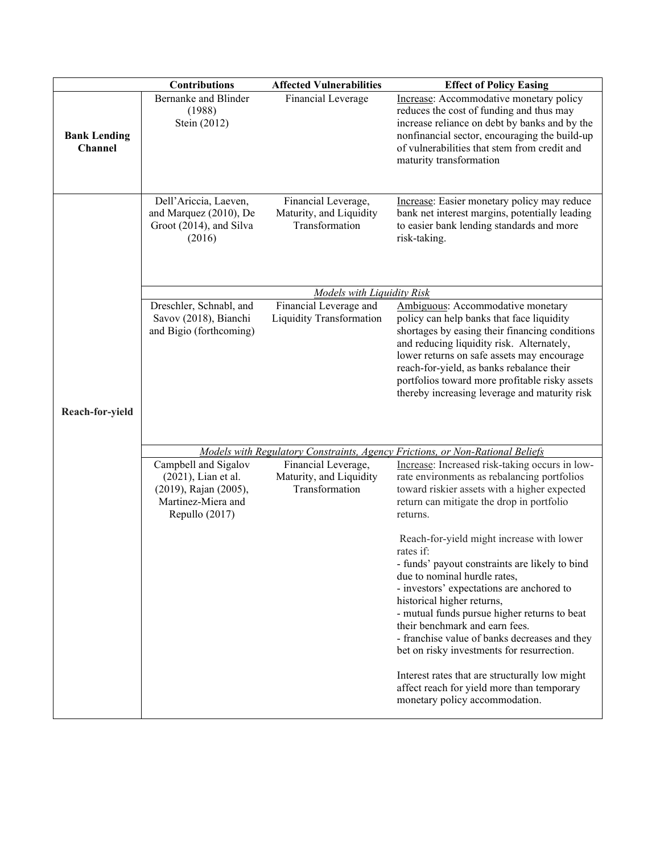|                                | <b>Contributions</b>                                                                                         | <b>Affected Vulnerabilities</b>                                  | <b>Effect of Policy Easing</b>                                                                                                                                                                                                                                                                                                                                                                                                                         |
|--------------------------------|--------------------------------------------------------------------------------------------------------------|------------------------------------------------------------------|--------------------------------------------------------------------------------------------------------------------------------------------------------------------------------------------------------------------------------------------------------------------------------------------------------------------------------------------------------------------------------------------------------------------------------------------------------|
| <b>Bank Lending</b><br>Channel | Bernanke and Blinder<br>(1988)<br>Stein (2012)                                                               | Financial Leverage                                               | Increase: Accommodative monetary policy<br>reduces the cost of funding and thus may<br>increase reliance on debt by banks and by the<br>nonfinancial sector, encouraging the build-up<br>of vulnerabilities that stem from credit and<br>maturity transformation                                                                                                                                                                                       |
|                                | Dell'Ariccia, Laeven,<br>and Marquez (2010), De<br>Groot (2014), and Silva<br>(2016)                         | Financial Leverage,<br>Maturity, and Liquidity<br>Transformation | Increase: Easier monetary policy may reduce<br>bank net interest margins, potentially leading<br>to easier bank lending standards and more<br>risk-taking.                                                                                                                                                                                                                                                                                             |
|                                | <b>Models with Liquidity Risk</b>                                                                            |                                                                  |                                                                                                                                                                                                                                                                                                                                                                                                                                                        |
|                                | Dreschler, Schnabl, and<br>Savov (2018), Bianchi<br>and Bigio (forthcoming)                                  | Financial Leverage and<br><b>Liquidity Transformation</b>        | Ambiguous: Accommodative monetary<br>policy can help banks that face liquidity<br>shortages by easing their financing conditions<br>and reducing liquidity risk. Alternately,<br>lower returns on safe assets may encourage<br>reach-for-yield, as banks rebalance their<br>portfolios toward more profitable risky assets<br>thereby increasing leverage and maturity risk                                                                            |
| Reach-for-yield                |                                                                                                              |                                                                  |                                                                                                                                                                                                                                                                                                                                                                                                                                                        |
|                                |                                                                                                              |                                                                  | Models with Regulatory Constraints, Agency Frictions, or Non-Rational Beliefs                                                                                                                                                                                                                                                                                                                                                                          |
|                                | Campbell and Sigalov<br>(2021), Lian et al.<br>(2019), Rajan (2005),<br>Martinez-Miera and<br>Repullo (2017) | Financial Leverage,<br>Maturity, and Liquidity<br>Transformation | Increase: Increased risk-taking occurs in low-<br>rate environments as rebalancing portfolios<br>toward riskier assets with a higher expected<br>return can mitigate the drop in portfolio<br>returns.                                                                                                                                                                                                                                                 |
|                                |                                                                                                              |                                                                  | Reach-for-yield might increase with lower<br>rates if:<br>- funds' payout constraints are likely to bind<br>due to nominal hurdle rates,<br>- investors' expectations are anchored to<br>historical higher returns,<br>- mutual funds pursue higher returns to beat<br>their benchmark and earn fees.<br>- franchise value of banks decreases and they<br>bet on risky investments for resurrection.<br>Interest rates that are structurally low might |
|                                |                                                                                                              |                                                                  | affect reach for yield more than temporary<br>monetary policy accommodation.                                                                                                                                                                                                                                                                                                                                                                           |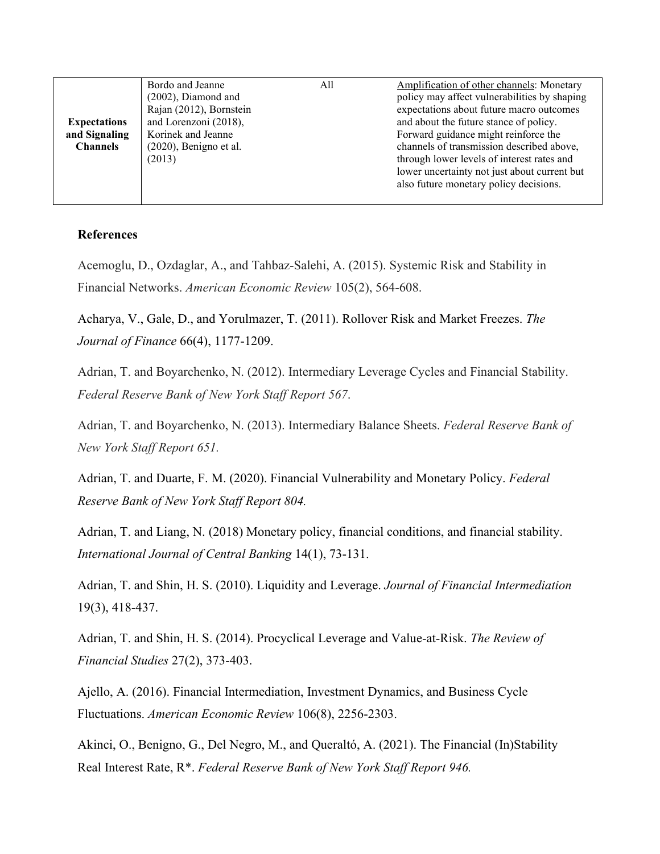|                     | Bordo and Jeanne          | All | Amplification of other channels: Monetary    |
|---------------------|---------------------------|-----|----------------------------------------------|
|                     | $(2002)$ , Diamond and    |     | policy may affect vulnerabilities by shaping |
|                     | Rajan (2012), Bornstein   |     | expectations about future macro outcomes     |
| <b>Expectations</b> | and Lorenzoni (2018),     |     | and about the future stance of policy.       |
| and Signaling       | Korinek and Jeanne        |     | Forward guidance might reinforce the         |
| <b>Channels</b>     | $(2020)$ , Benigno et al. |     | channels of transmission described above,    |
|                     | (2013)                    |     | through lower levels of interest rates and   |
|                     |                           |     | lower uncertainty not just about current but |
|                     |                           |     | also future monetary policy decisions.       |
|                     |                           |     |                                              |

## **References**

Acemoglu, D., Ozdaglar, A., and Tahbaz-Salehi, A. (2015). Systemic Risk and Stability in Financial Networks. *American Economic Review* 105(2), 564-608.

Acharya, V., Gale, D., and Yorulmazer, T. (2011). Rollover Risk and Market Freezes. *The Journal of Finance* 66(4), 1177-1209.

Adrian, T. and Boyarchenko, N. (2012). Intermediary Leverage Cycles and Financial Stability. *Federal Reserve Bank of New York Staff Report 567*.

Adrian, T. and Boyarchenko, N. (2013). Intermediary Balance Sheets. *Federal Reserve Bank of New York Staff Report 651.*

Adrian, T. and Duarte, F. M. (2020). Financial Vulnerability and Monetary Policy. *Federal Reserve Bank of New York Staff Report 804.* 

Adrian, T. and Liang, N. (2018) Monetary policy, financial conditions, and financial stability. *International Journal of Central Banking* 14(1), 73-131.

Adrian, T. and Shin, H. S. (2010). Liquidity and Leverage. *Journal of Financial Intermediation* 19(3), 418-437.

Adrian, T. and Shin, H. S. (2014). Procyclical Leverage and Value-at-Risk. *The Review of Financial Studies* 27(2), 373-403.

Ajello, A. (2016). Financial Intermediation, Investment Dynamics, and Business Cycle Fluctuations. *American Economic Review* 106(8), 2256-2303.

Akinci, O., Benigno, G., Del Negro, M., and Queraltó, A. (2021). The Financial (In)Stability Real Interest Rate, R\*. *Federal Reserve Bank of New York Staff Report 946.*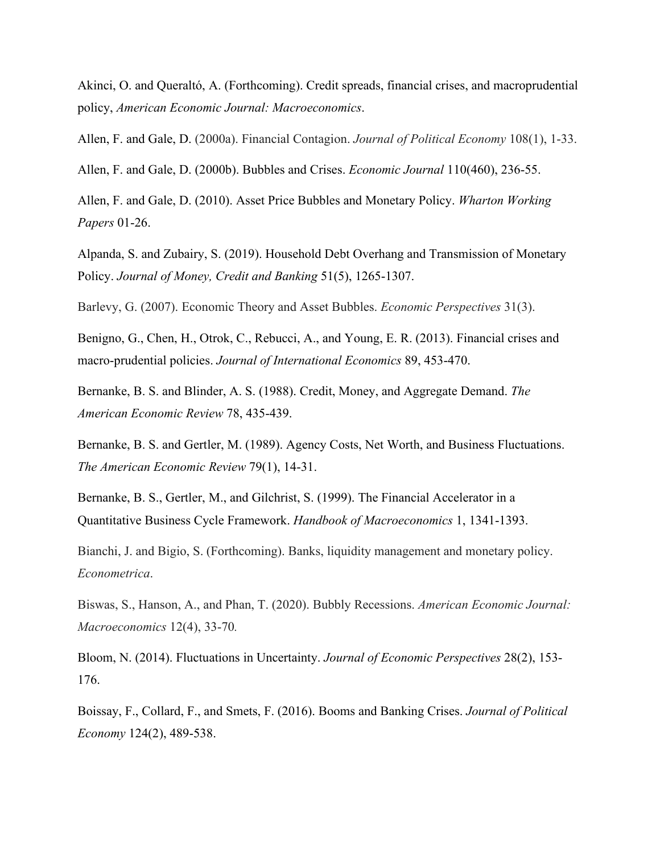Akinci, O. and Queraltó, A. (Forthcoming). Credit spreads, financial crises, and macroprudential policy, *American Economic Journal: Macroeconomics*.

Allen, F. and Gale, D. (2000a). Financial Contagion. *Journal of Political Economy* 108(1), 1-33.

Allen, F. and Gale, D. (2000b). Bubbles and Crises. *Economic Journal* 110(460), 236-55.

Allen, F. and Gale, D. (2010). Asset Price Bubbles and Monetary Policy. *Wharton Working Papers* 01-26.

Alpanda, S. and Zubairy, S. (2019). Household Debt Overhang and Transmission of Monetary Policy. *Journal of Money, Credit and Banking* 51(5), 1265-1307.

Barlevy, G. (2007). Economic Theory and Asset Bubbles. *Economic Perspectives* 31(3).

Benigno, G., Chen, H., Otrok, C., Rebucci, A., and Young, E. R. (2013). Financial crises and macro-prudential policies. *Journal of International Economics* 89, 453-470.

Bernanke, B. S. and Blinder, A. S. (1988). Credit, Money, and Aggregate Demand. *The American Economic Review* 78, 435-439.

Bernanke, B. S. and Gertler, M. (1989). Agency Costs, Net Worth, and Business Fluctuations. *The American Economic Review* 79(1), 14-31.

Bernanke, B. S., Gertler, M., and Gilchrist, S. (1999). The Financial Accelerator in a Quantitative Business Cycle Framework. *Handbook of Macroeconomics* 1, 1341-1393.

Bianchi, J. and Bigio, S. (Forthcoming). Banks, liquidity management and monetary policy. *Econometrica*.

Biswas, S., Hanson, A., and Phan, T. (2020). Bubbly Recessions. *American Economic Journal: Macroeconomics* 12(4), 33-70*.* 

Bloom, N. (2014). Fluctuations in Uncertainty. *Journal of Economic Perspectives* 28(2), 153- 176.

Boissay, F., Collard, F., and Smets, F. (2016). Booms and Banking Crises. *Journal of Political Economy* 124(2), 489-538.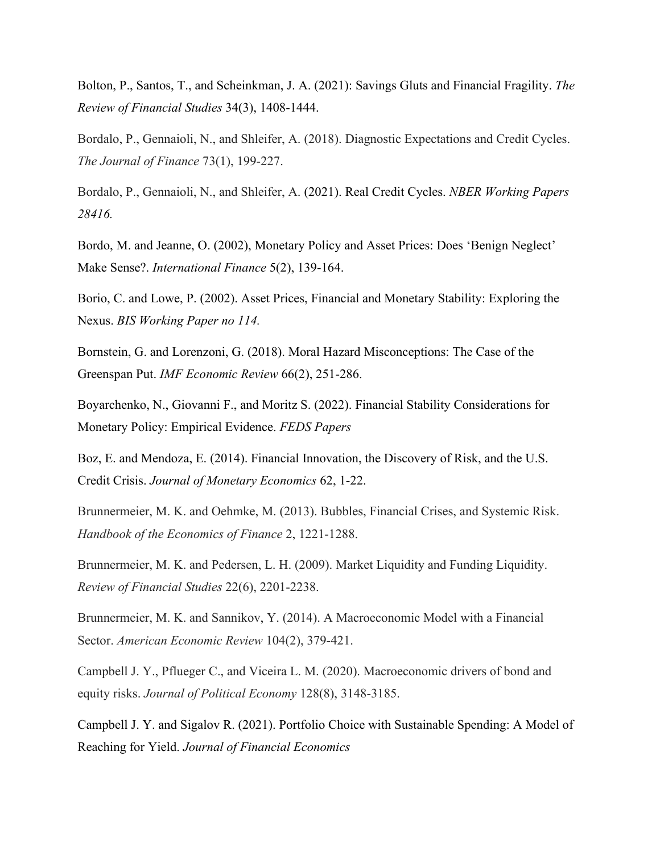Bolton, P., Santos, T., and Scheinkman, J. A. (2021): Savings Gluts and Financial Fragility. *The Review of Financial Studies* 34(3), 1408-1444.

Bordalo, P., Gennaioli, N., and Shleifer, A. (2018). Diagnostic Expectations and Credit Cycles. *The Journal of Finance* 73(1), 199-227.

Bordalo, P., Gennaioli, N., and Shleifer, A. (2021). Real Credit Cycles. *NBER Working Papers 28416.*

Bordo, M. and Jeanne, O. (2002), Monetary Policy and Asset Prices: Does 'Benign Neglect' Make Sense?. *International Finance* 5(2), 139-164.

Borio, C. and Lowe, P. (2002). Asset Prices, Financial and Monetary Stability: Exploring the Nexus. *BIS Working Paper no 114.* 

Bornstein, G. and Lorenzoni, G. (2018). Moral Hazard Misconceptions: The Case of the Greenspan Put. *IMF Economic Review* 66(2), 251-286.

Boyarchenko, N., Giovanni F., and Moritz S. (2022). Financial Stability Considerations for Monetary Policy: Empirical Evidence. *FEDS Papers*

Boz, E. and Mendoza, E. (2014). Financial Innovation, the Discovery of Risk, and the U.S. Credit Crisis. *Journal of Monetary Economics* 62, 1-22.

Brunnermeier, M. K. and Oehmke, M. (2013). Bubbles, Financial Crises, and Systemic Risk. *Handbook of the Economics of Finance* 2, 1221-1288.

Brunnermeier, M. K. and Pedersen, L. H. (2009). Market Liquidity and Funding Liquidity. *Review of Financial Studies* 22(6), 2201-2238.

Brunnermeier, M. K. and Sannikov, Y. (2014). A Macroeconomic Model with a Financial Sector. *American Economic Review* 104(2), 379-421.

Campbell J. Y., Pflueger C., and Viceira L. M. (2020). Macroeconomic drivers of bond and equity risks. *Journal of Political Economy* 128(8), 3148-3185.

Campbell J. Y. and Sigalov R. (2021). Portfolio Choice with Sustainable Spending: A Model of Reaching for Yield. *Journal of Financial Economics*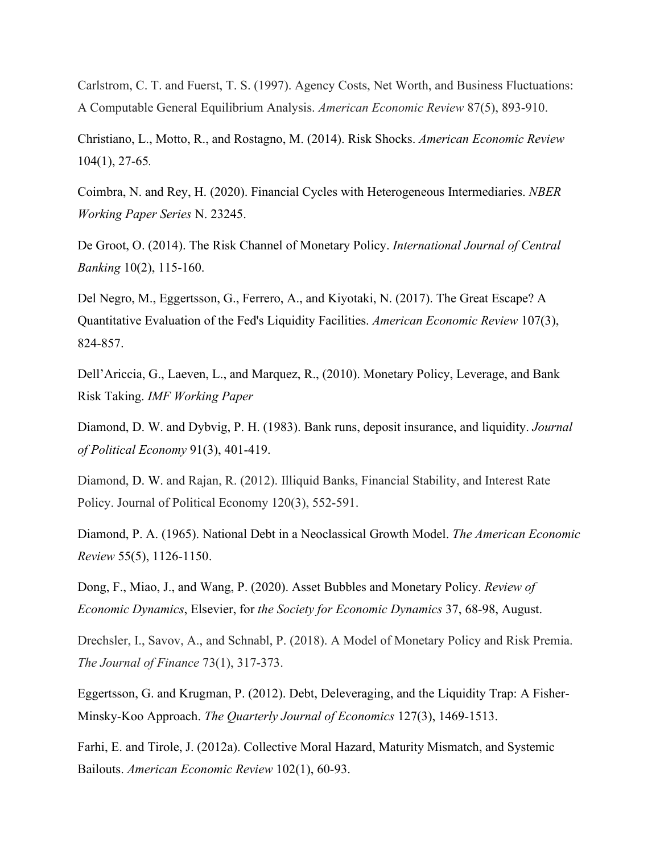Carlstrom, C. T. and Fuerst, T. S. (1997). Agency Costs, Net Worth, and Business Fluctuations: A Computable General Equilibrium Analysis. *American Economic Review* 87(5), 893-910.

Christiano, L., Motto, R., and Rostagno, M. (2014). Risk Shocks. *American Economic Review* 104(1), 27-65*.*

Coimbra, N. and Rey, H. (2020). Financial Cycles with Heterogeneous Intermediaries. *NBER Working Paper Series* N. 23245.

De Groot, O. (2014). The Risk Channel of Monetary Policy. *International Journal of Central Banking* 10(2), 115-160.

Del Negro, M., Eggertsson, G., Ferrero, A., and Kiyotaki, N. (2017). The Great Escape? A Quantitative Evaluation of the Fed's Liquidity Facilities. *American Economic Review* 107(3), 824-857.

Dell'Ariccia, G., Laeven, L., and Marquez, R., (2010). Monetary Policy, Leverage, and Bank Risk Taking. *IMF Working Paper*

Diamond, D. W. and Dybvig, P. H. (1983). Bank runs, deposit insurance, and liquidity. *Journal of Political Economy* 91(3), 401-419.

Diamond, D. W. and Rajan, R. (2012). Illiquid Banks, Financial Stability, and Interest Rate Policy. Journal of Political Economy 120(3), 552-591.

Diamond, P. A. (1965). National Debt in a Neoclassical Growth Model. *The American Economic Review* 55(5), 1126-1150.

Dong, F., Miao, J., and Wang, P. (2020). Asset Bubbles and Monetary Policy. *Review of Economic Dynamics*, Elsevier, for *the Society for Economic Dynamics* 37, 68-98, August.

Drechsler, I., Savov, A., and Schnabl, P. (2018). A Model of Monetary Policy and Risk Premia. *The Journal of Finance* 73(1), 317-373.

Eggertsson, G. and Krugman, P. (2012). Debt, Deleveraging, and the Liquidity Trap: A Fisher-Minsky-Koo Approach. *The Quarterly Journal of Economics* 127(3), 1469-1513.

Farhi, E. and Tirole, J. (2012a). Collective Moral Hazard, Maturity Mismatch, and Systemic Bailouts. *American Economic Review* 102(1), 60-93.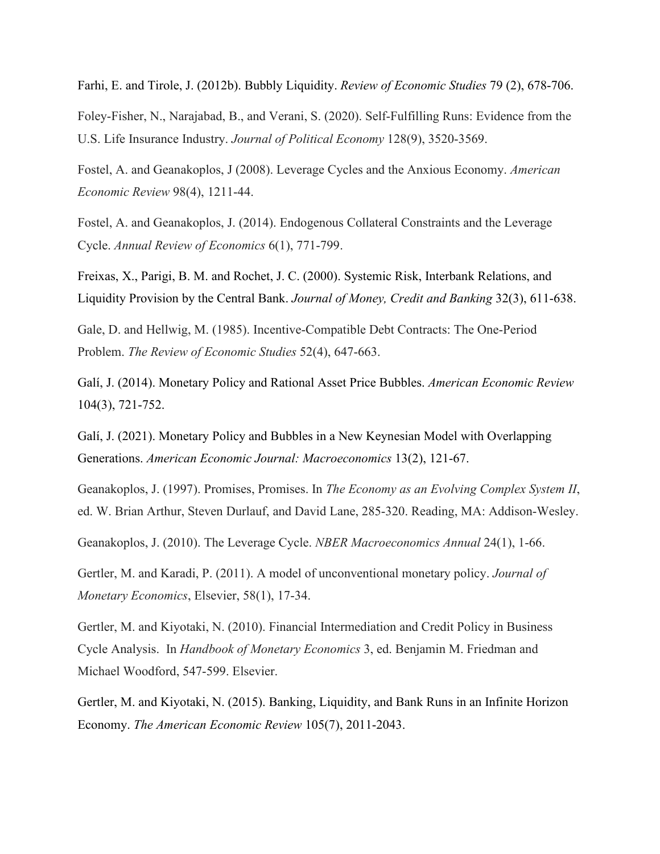Farhi, E. and Tirole, J. (2012b). Bubbly Liquidity. *Review of Economic Studies* 79 (2), 678-706.

Foley-Fisher, N., Narajabad, B., and Verani, S. (2020). Self-Fulfilling Runs: Evidence from the U.S. Life Insurance Industry. *Journal of Political Economy* 128(9), 3520-3569.

Fostel, A. and Geanakoplos, J (2008). Leverage Cycles and the Anxious Economy. *American Economic Review* 98(4), 1211-44.

Fostel, A. and Geanakoplos, J. (2014). Endogenous Collateral Constraints and the Leverage Cycle. *Annual Review of Economics* 6(1), 771-799.

Freixas, X., Parigi, B. M. and Rochet, J. C. (2000). Systemic Risk, Interbank Relations, and Liquidity Provision by the Central Bank. *Journal of Money, Credit and Banking* 32(3), 611-638.

Gale, D. and Hellwig, M. (1985). Incentive-Compatible Debt Contracts: The One-Period Problem. *The Review of Economic Studies* 52(4), 647-663.

Galí, J. (2014). Monetary Policy and Rational Asset Price Bubbles. *American Economic Review* 104(3), 721-752.

Galí, J. (2021). Monetary Policy and Bubbles in a New Keynesian Model with Overlapping Generations. *American Economic Journal: Macroeconomics* 13(2), 121-67.

Geanakoplos, J. (1997). Promises, Promises. In *The Economy as an Evolving Complex System II*, ed. W. Brian Arthur, Steven Durlauf, and David Lane, 285-320. Reading, MA: Addison-Wesley.

Geanakoplos, J. (2010). The Leverage Cycle. *NBER Macroeconomics Annual* 24(1), 1-66.

Gertler, M. and Karadi, P. (2011). A model of unconventional monetary policy. *Journal of Monetary Economics*, Elsevier, 58(1), 17-34.

Gertler, M. and Kiyotaki, N. (2010). Financial Intermediation and Credit Policy in Business Cycle Analysis. In *Handbook of Monetary Economics* 3, ed. Benjamin M. Friedman and Michael Woodford, 547-599. Elsevier.

Gertler, M. and Kiyotaki, N. (2015). Banking, Liquidity, and Bank Runs in an Infinite Horizon Economy. *The American Economic Review* 105(7), 2011-2043.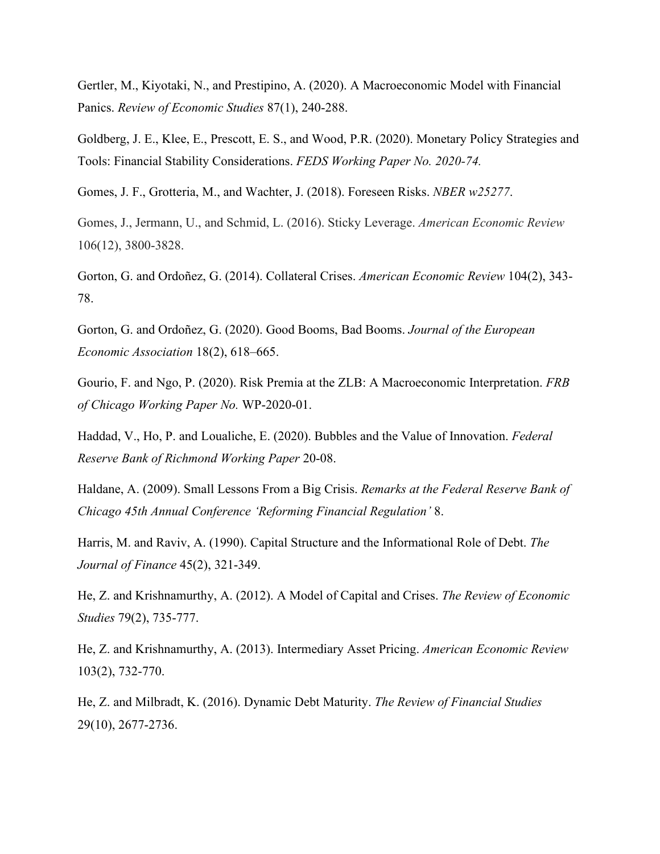Gertler, M., Kiyotaki, N., and Prestipino, A. (2020). A Macroeconomic Model with Financial Panics. *Review of Economic Studies* 87(1), 240-288.

Goldberg, J. E., Klee, E., Prescott, E. S., and Wood, P.R. (2020). Monetary Policy Strategies and Tools: Financial Stability Considerations. *FEDS Working Paper No. 2020-74.*

Gomes, J. F., Grotteria, M., and Wachter, J. (2018). Foreseen Risks. *NBER w25277*.

Gomes, J., Jermann, U., and Schmid, L. (2016). Sticky Leverage. *American Economic Review* 106(12), 3800-3828.

Gorton, G. and Ordoñez, G. (2014). Collateral Crises. *American Economic Review* 104(2), 343- 78.

Gorton, G. and Ordoñez, G. (2020). Good Booms, Bad Booms. *Journal of the European Economic Association* 18(2), 618–665.

Gourio, F. and Ngo, P. (2020). Risk Premia at the ZLB: A Macroeconomic Interpretation. *FRB of Chicago Working Paper No.* WP-2020-01.

Haddad, V., Ho, P. and Loualiche, E. (2020). Bubbles and the Value of Innovation. *Federal Reserve Bank of Richmond Working Paper* 20-08.

Haldane, A. (2009). Small Lessons From a Big Crisis. *Remarks at the Federal Reserve Bank of Chicago 45th Annual Conference 'Reforming Financial Regulation'* 8.

Harris, M. and Raviv, A. (1990). Capital Structure and the Informational Role of Debt. *The Journal of Finance* 45(2), 321-349.

He, Z. and Krishnamurthy, A. (2012). A Model of Capital and Crises. *The Review of Economic Studies* 79(2), 735-777.

He, Z. and Krishnamurthy, A. (2013). Intermediary Asset Pricing. *American Economic Review* 103(2), 732-770.

He, Z. and Milbradt, K. (2016). Dynamic Debt Maturity. *The Review of Financial Studies* 29(10), 2677-2736.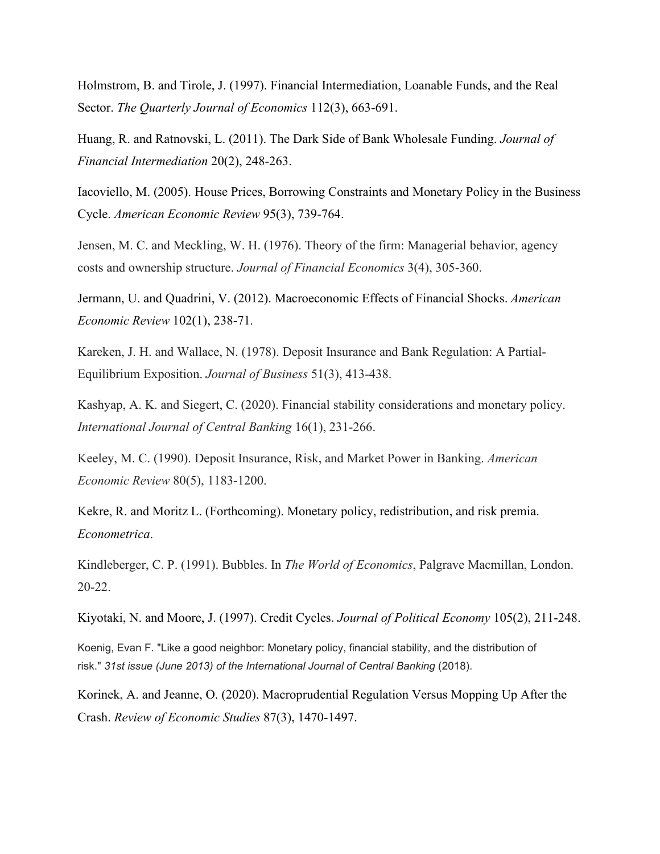Holmstrom, B. and Tirole, J. (1997). Financial Intermediation, Loanable Funds, and the Real Sector. *The Quarterly Journal of Economics* 112(3), 663-691.

Huang, R. and Ratnovski, L. (2011). The Dark Side of Bank Wholesale Funding. *Journal of Financial Intermediation* 20(2), 248-263.

Iacoviello, M. (2005). House Prices, Borrowing Constraints and Monetary Policy in the Business Cycle. *American Economic Review* 95(3), 739-764.

Jensen, M. C. and Meckling, W. H. (1976). Theory of the firm: Managerial behavior, agency costs and ownership structure. *Journal of Financial Economics* 3(4), 305-360.

Jermann, U. and Quadrini, V. (2012). Macroeconomic Effects of Financial Shocks. *American Economic Review* 102(1), 238-71*.*

Kareken, J. H. and Wallace, N. (1978). Deposit Insurance and Bank Regulation: A Partial-Equilibrium Exposition. *Journal of Business* 51(3), 413-438.

Kashyap, A. K. and Siegert, C. (2020). Financial stability considerations and monetary policy. *International Journal of Central Banking* 16(1), 231-266.

Keeley, M. C. (1990). Deposit Insurance, Risk, and Market Power in Banking. *American Economic Review* 80(5), 1183-1200.

Kekre, R. and Moritz L. (Forthcoming). Monetary policy, redistribution, and risk premia. *Econometrica*.

Kindleberger, C. P. (1991). Bubbles. In *The World of Economics*, Palgrave Macmillan, London. 20-22.

Kiyotaki, N. and Moore, J. (1997). Credit Cycles. *Journal of Political Economy* 105(2), 211-248.

Koenig, Evan F. "Like a good neighbor: Monetary policy, financial stability, and the distribution of risk." *31st issue (June 2013) of the International Journal of Central Banking* (2018).

Korinek, A. and Jeanne, O. (2020). Macroprudential Regulation Versus Mopping Up After the Crash. *Review of Economic Studies* 87(3), 1470-1497.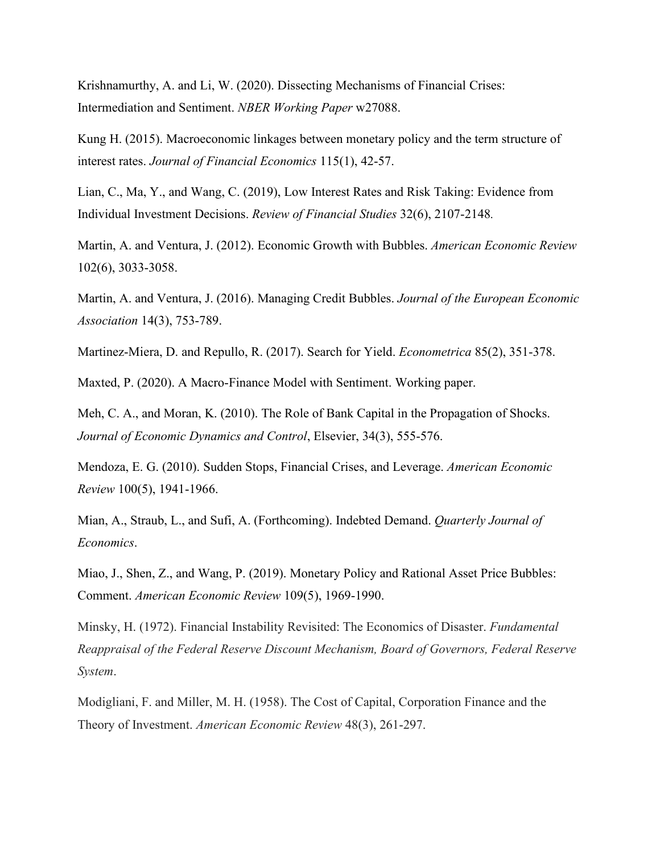Krishnamurthy, A. and Li, W. (2020). Dissecting Mechanisms of Financial Crises: Intermediation and Sentiment. *NBER Working Paper* w27088.

Kung H. (2015). Macroeconomic linkages between monetary policy and the term structure of interest rates. *Journal of Financial Economics* 115(1), 42-57.

Lian, C., Ma, Y., and Wang, C. (2019), Low Interest Rates and Risk Taking: Evidence from Individual Investment Decisions. *Review of Financial Studies* 32(6), 2107-2148*.*

Martin, A. and Ventura, J. (2012). Economic Growth with Bubbles. *American Economic Review* 102(6), 3033-3058.

Martin, A. and Ventura, J. (2016). Managing Credit Bubbles. *Journal of the European Economic Association* 14(3), 753-789.

Martinez‐Miera, D. and Repullo, R. (2017). Search for Yield. *Econometrica* 85(2), 351-378.

Maxted, P. (2020). A Macro-Finance Model with Sentiment. Working paper.

Meh, C. A., and Moran, K. (2010). The Role of Bank Capital in the Propagation of Shocks. *Journal of Economic Dynamics and Control*, Elsevier, 34(3), 555-576.

Mendoza, E. G. (2010). Sudden Stops, Financial Crises, and Leverage. *American Economic Review* 100(5), 1941-1966.

Mian, A., Straub, L., and Sufi, A. (Forthcoming). Indebted Demand. *Quarterly Journal of Economics*.

Miao, J., Shen, Z., and Wang, P. (2019). Monetary Policy and Rational Asset Price Bubbles: Comment. *American Economic Review* 109(5), 1969-1990.

Minsky, H. (1972). Financial Instability Revisited: The Economics of Disaster. *Fundamental Reappraisal of the Federal Reserve Discount Mechanism, Board of Governors, Federal Reserve System*.

Modigliani, F. and Miller, M. H. (1958). The Cost of Capital, Corporation Finance and the Theory of Investment. *American Economic Review* 48(3), 261-297.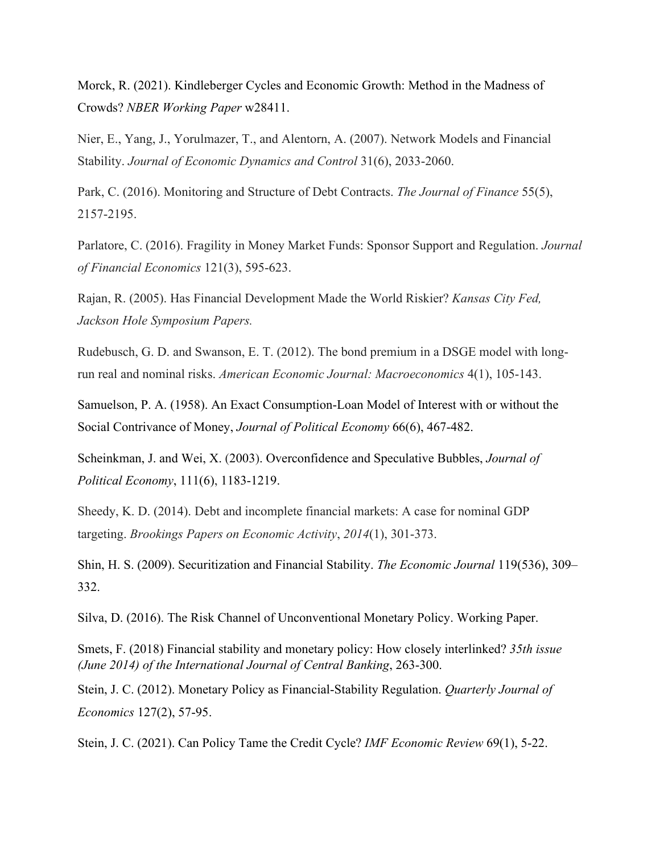Morck, R. (2021). Kindleberger Cycles and Economic Growth: Method in the Madness of Crowds? *NBER Working Paper* w28411.

Nier, E., Yang, J., Yorulmazer, T., and Alentorn, A. (2007). Network Models and Financial Stability. *Journal of Economic Dynamics and Control* 31(6), 2033-2060.

Park, C. (2016). Monitoring and Structure of Debt Contracts. *The Journal of Finance* 55(5), 2157-2195.

Parlatore, C. (2016). Fragility in Money Market Funds: Sponsor Support and Regulation. *Journal of Financial Economics* 121(3), 595-623.

Rajan, R. (2005). Has Financial Development Made the World Riskier? *Kansas City Fed, Jackson Hole Symposium Papers.* 

Rudebusch, G. D. and Swanson, E. T. (2012). The bond premium in a DSGE model with longrun real and nominal risks. *American Economic Journal: Macroeconomics* 4(1), 105-143.

Samuelson, P. A. (1958). An Exact Consumption-Loan Model of Interest with or without the Social Contrivance of Money, *Journal of Political Economy* 66(6), 467-482.

Scheinkman, J. and Wei, X. (2003). Overconfidence and Speculative Bubbles, *Journal of Political Economy*, 111(6), 1183-1219.

Sheedy, K. D. (2014). Debt and incomplete financial markets: A case for nominal GDP targeting. *Brookings Papers on Economic Activity*, *2014*(1), 301-373.

Shin, H. S. (2009). Securitization and Financial Stability. *The Economic Journal* 119(536), 309– 332.

Silva, D. (2016). The Risk Channel of Unconventional Monetary Policy. Working Paper.

Smets, F. (2018) Financial stability and monetary policy: How closely interlinked? *35th issue (June 2014) of the International Journal of Central Banking*, 263-300.

Stein, J. C. (2012). Monetary Policy as Financial-Stability Regulation. *Quarterly Journal of Economics* 127(2), 57-95.

Stein, J. C. (2021). Can Policy Tame the Credit Cycle? *IMF Economic Review* 69(1), 5-22.